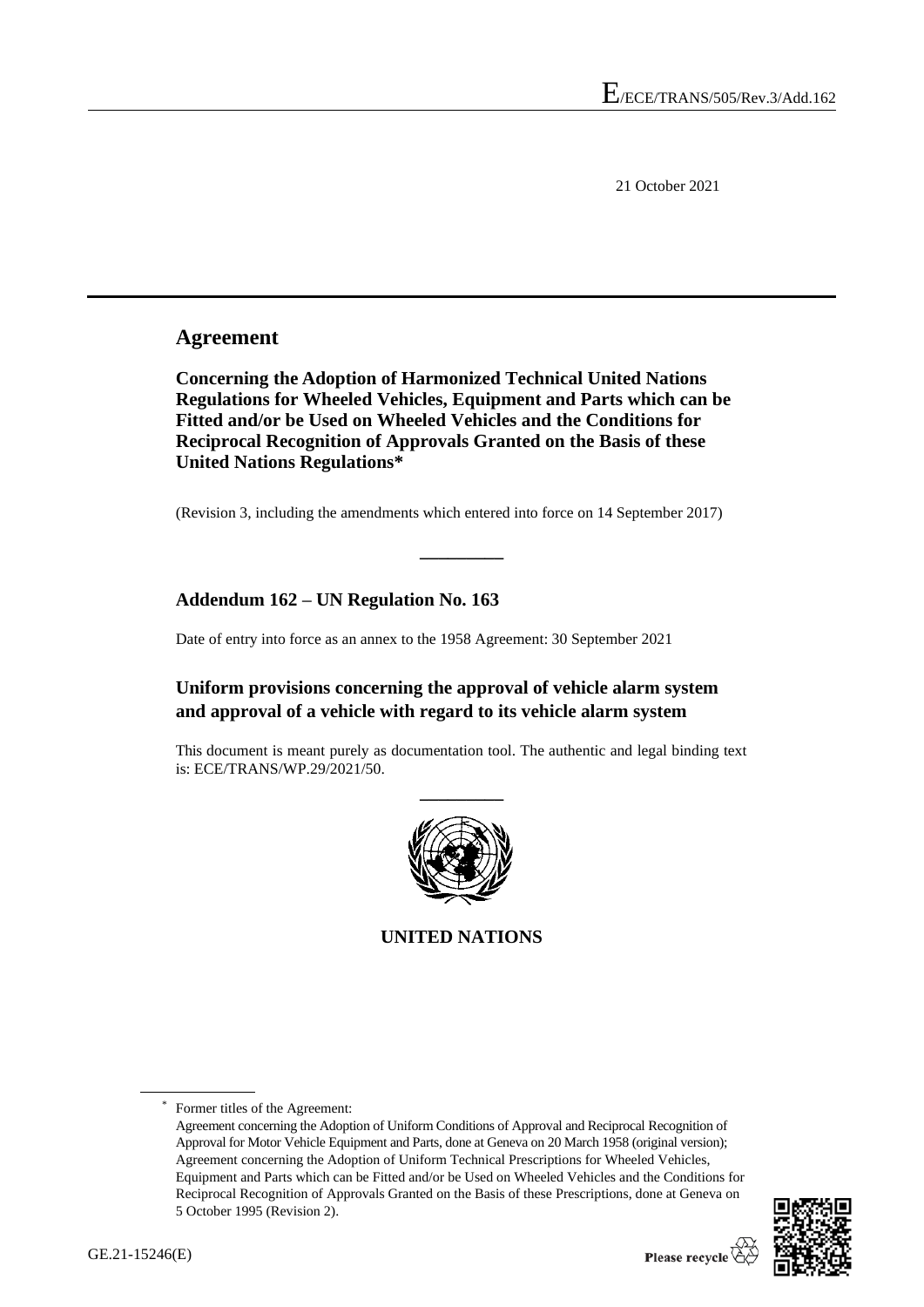21 October 2021

### **Agreement**

**Concerning the Adoption of Harmonized Technical United Nations Regulations for Wheeled Vehicles, Equipment and Parts which can be Fitted and/or be Used on Wheeled Vehicles and the Conditions for Reciprocal Recognition of Approvals Granted on the Basis of these United Nations Regulations\***

(Revision 3, including the amendments which entered into force on 14 September 2017)

**\_\_\_\_\_\_\_\_\_**

#### **Addendum 162 – UN Regulation No. 163**

Date of entry into force as an annex to the 1958 Agreement: 30 September 2021

#### **Uniform provisions concerning the approval of vehicle alarm system and approval of a vehicle with regard to its vehicle alarm system**

This document is meant purely as documentation tool. The authentic and legal binding text is: ECE/TRANS/WP.29/2021/50.



**UNITED NATIONS**

Former titles of the Agreement: Agreement concerning the Adoption of Uniform Conditions of Approval and Reciprocal Recognition of Approval for Motor Vehicle Equipment and Parts, done at Geneva on 20 March 1958 (original version); Agreement concerning the Adoption of Uniform Technical Prescriptions for Wheeled Vehicles, Equipment and Parts which can be Fitted and/or be Used on Wheeled Vehicles and the Conditions for Reciprocal Recognition of Approvals Granted on the Basis of these Prescriptions, done at Geneva on 5 October 1995 (Revision 2).

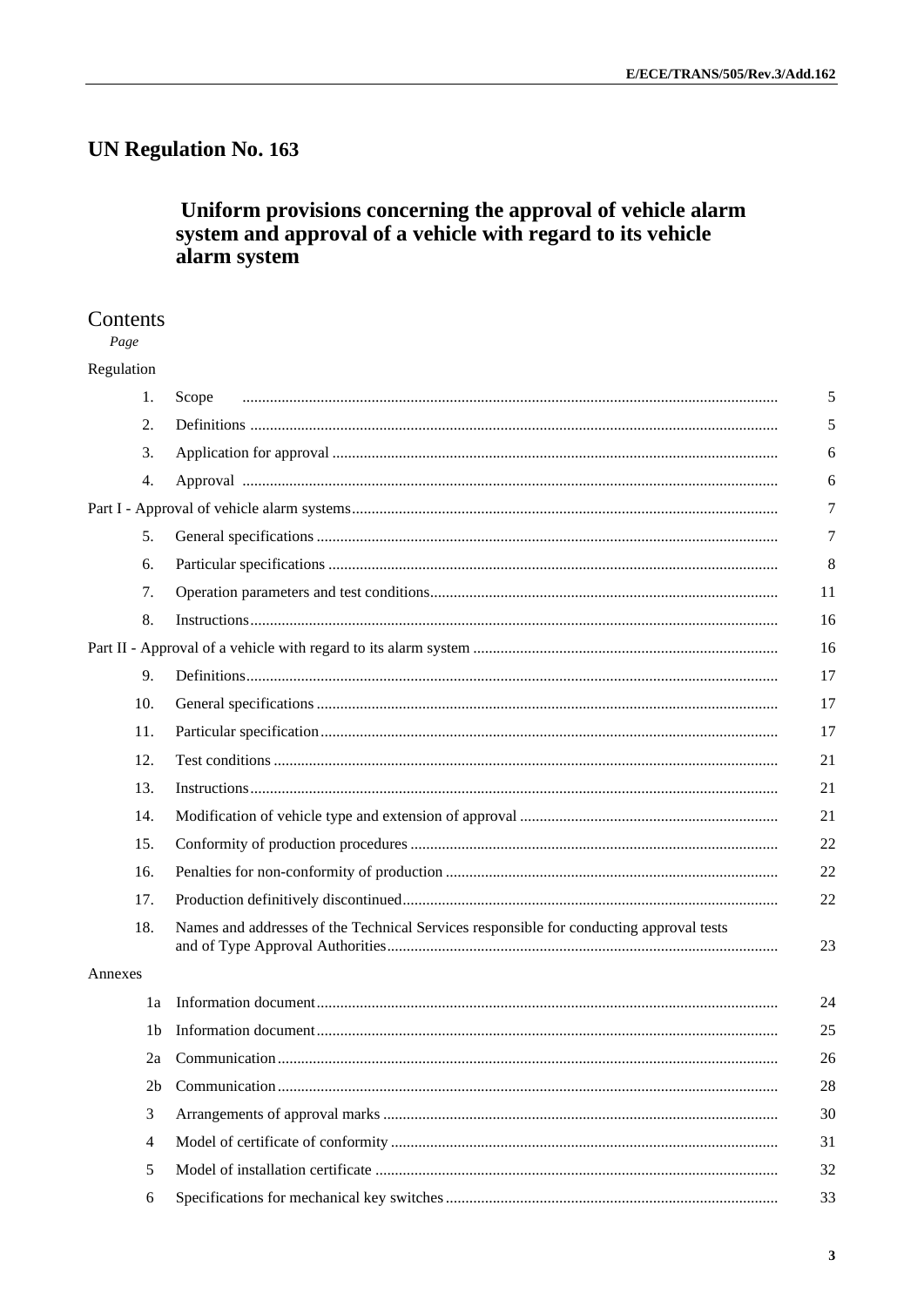## **UN Regulation No. 163**

# Uniform provisions concerning the approval of vehicle alarm<br>system and approval of a vehicle with regard to its vehicle alarm system

#### Contents

Page Regulation

|         | 1.             | Scope                                                                                   |
|---------|----------------|-----------------------------------------------------------------------------------------|
|         | 2.             |                                                                                         |
|         | 3.             |                                                                                         |
|         | 4.             |                                                                                         |
|         |                |                                                                                         |
|         | 5.             |                                                                                         |
|         | 6.             |                                                                                         |
|         | 7.             |                                                                                         |
|         | 8.             |                                                                                         |
|         |                |                                                                                         |
|         | 9.             |                                                                                         |
|         | 10.            |                                                                                         |
|         | 11.            |                                                                                         |
|         | 12.            |                                                                                         |
|         | 13.            |                                                                                         |
|         | 14.            |                                                                                         |
|         | 15.            |                                                                                         |
|         | 16.            |                                                                                         |
|         | 17.            |                                                                                         |
|         | 18.            | Names and addresses of the Technical Services responsible for conducting approval tests |
| Annexes |                |                                                                                         |
|         | 1a             |                                                                                         |
|         | 1b             |                                                                                         |
|         | 2a             |                                                                                         |
|         | 2 <sub>b</sub> |                                                                                         |
|         | 3              |                                                                                         |
|         | 4              |                                                                                         |
|         | 5              |                                                                                         |
|         | 6              |                                                                                         |
|         |                |                                                                                         |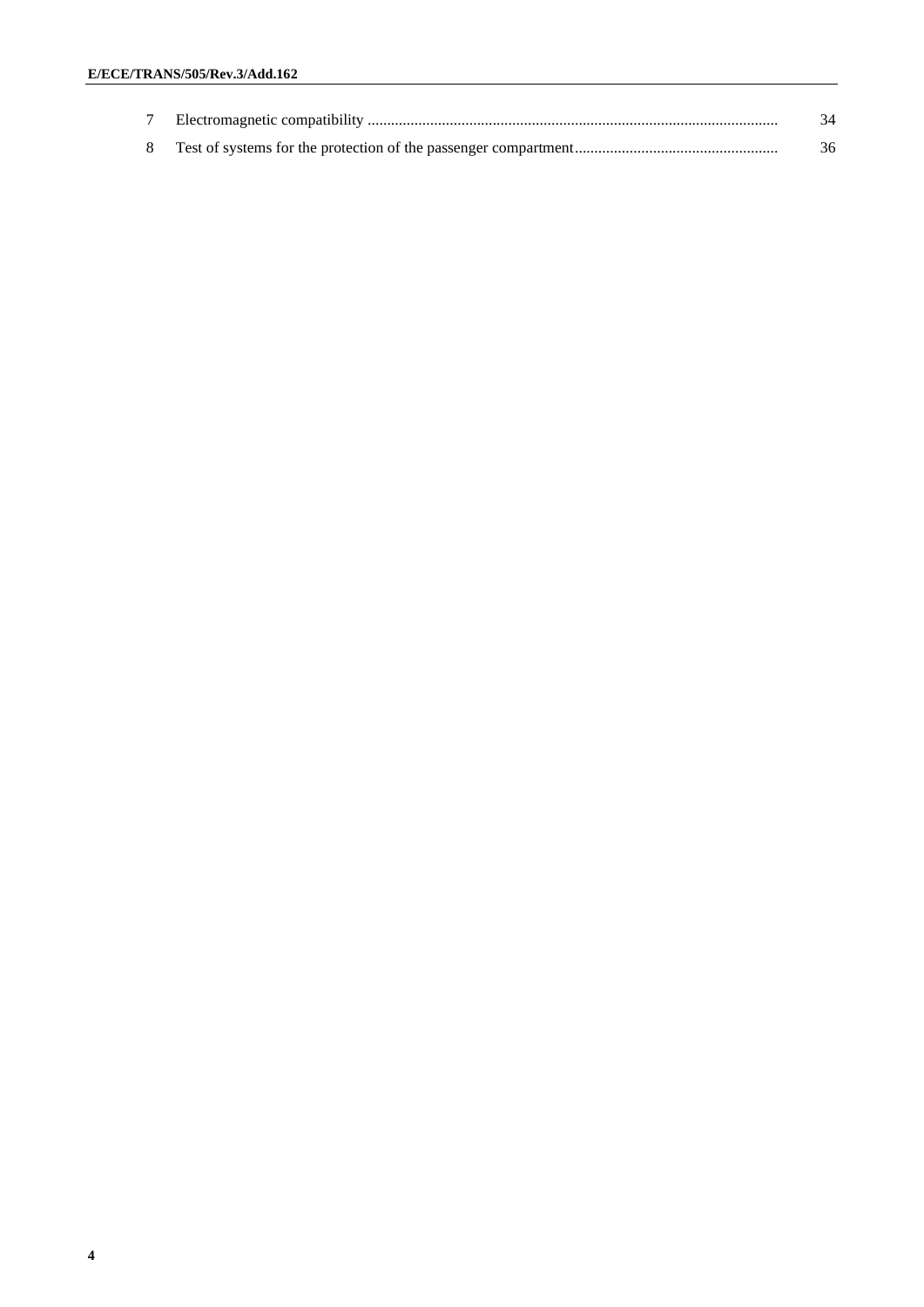|  | 34 |
|--|----|
|  | 36 |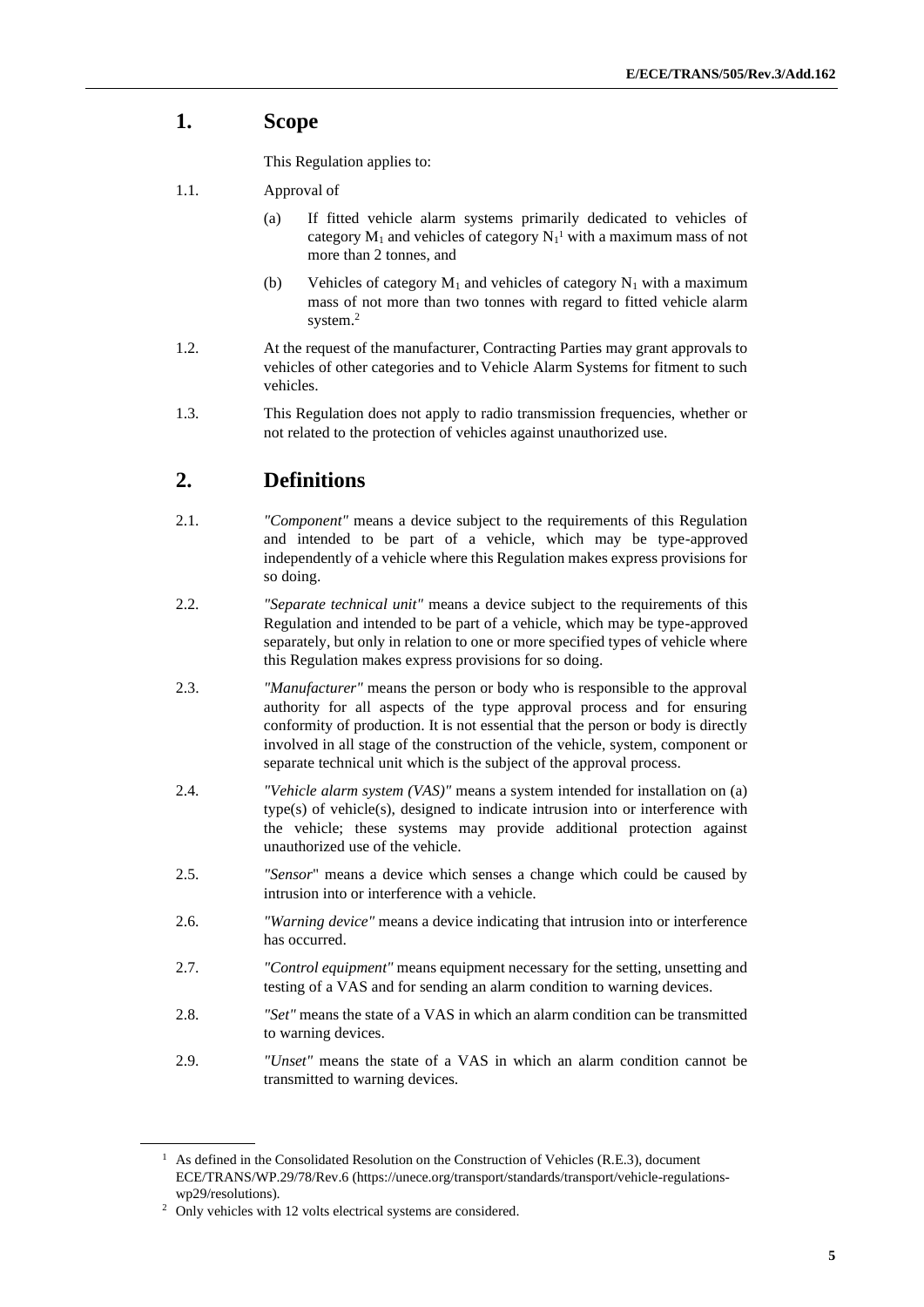## **1. Scope**

This Regulation applies to:

- 1.1. Approval of
	- (a) If fitted vehicle alarm systems primarily dedicated to vehicles of category  $M_1$  and vehicles of category  $N_1$ <sup>1</sup> with a maximum mass of not more than 2 tonnes, and
	- (b) Vehicles of category  $M_1$  and vehicles of category  $N_1$  with a maximum mass of not more than two tonnes with regard to fitted vehicle alarm system. 2
- 1.2. At the request of the manufacturer, Contracting Parties may grant approvals to vehicles of other categories and to Vehicle Alarm Systems for fitment to such vehicles.
- 1.3. This Regulation does not apply to radio transmission frequencies, whether or not related to the protection of vehicles against unauthorized use.

## **2. Definitions**

- 2.1. *"Component"* means a device subject to the requirements of this Regulation and intended to be part of a vehicle, which may be type-approved independently of a vehicle where this Regulation makes express provisions for so doing.
- 2.2. *"Separate technical unit"* means a device subject to the requirements of this Regulation and intended to be part of a vehicle, which may be type-approved separately, but only in relation to one or more specified types of vehicle where this Regulation makes express provisions for so doing.
- 2.3. *"Manufacturer"* means the person or body who is responsible to the approval authority for all aspects of the type approval process and for ensuring conformity of production. It is not essential that the person or body is directly involved in all stage of the construction of the vehicle, system, component or separate technical unit which is the subject of the approval process.
- 2.4. *"Vehicle alarm system (VAS)"* means a system intended for installation on (a) type(s) of vehicle(s), designed to indicate intrusion into or interference with the vehicle; these systems may provide additional protection against unauthorized use of the vehicle.
- 2.5. *"Sensor*" means a device which senses a change which could be caused by intrusion into or interference with a vehicle.
- 2.6. *"Warning device"* means a device indicating that intrusion into or interference has occurred.
- 2.7. *"Control equipment"* means equipment necessary for the setting, unsetting and testing of a VAS and for sending an alarm condition to warning devices.
- 2.8. *"Set"* means the state of a VAS in which an alarm condition can be transmitted to warning devices.
- 2.9. *"Unset"* means the state of a VAS in which an alarm condition cannot be transmitted to warning devices.

<sup>&</sup>lt;sup>1</sup> As defined in the Consolidated Resolution on the Construction of Vehicles (R.E.3), document ECE/TRANS/WP.29/78/Rev.6 (https://unece.org/transport/standards/transport/vehicle-regulationswp29/resolutions).

<sup>&</sup>lt;sup>2</sup> Only vehicles with 12 volts electrical systems are considered.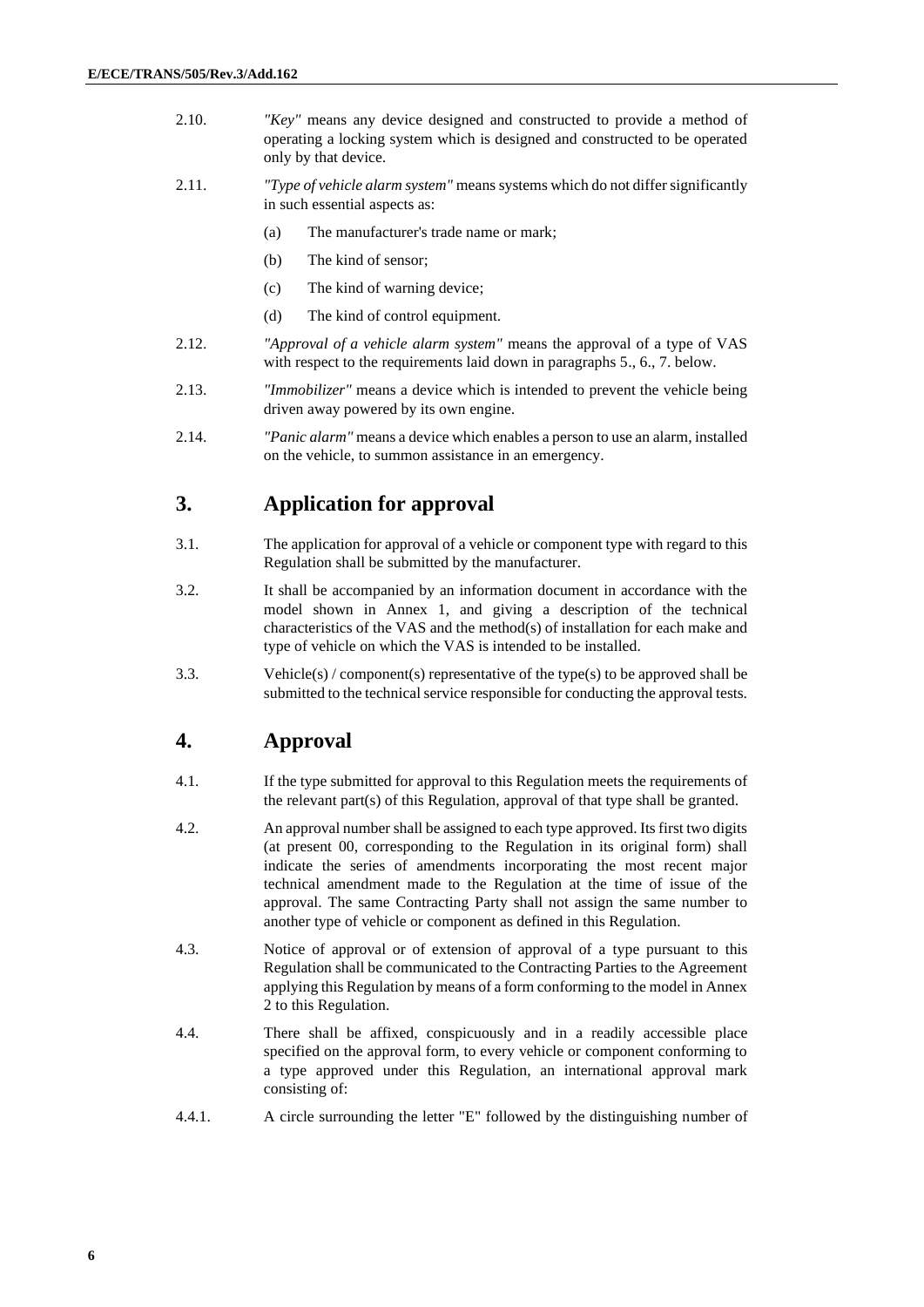- 2.10. *"Key"* means any device designed and constructed to provide a method of operating a locking system which is designed and constructed to be operated only by that device.
- 2.11. *"Type of vehicle alarm system"* means systems which do not differ significantly in such essential aspects as:
	- (a) The manufacturer's trade name or mark;
	- (b) The kind of sensor;
	- (c) The kind of warning device;
	- (d) The kind of control equipment.
- 2.12. *"Approval of a vehicle alarm system"* means the approval of a type of VAS with respect to the requirements laid down in paragraphs 5., 6., 7. below.
- 2.13. *"Immobilizer"* means a device which is intended to prevent the vehicle being driven away powered by its own engine.
- 2.14. *"Panic alarm"* means a device which enables a person to use an alarm, installed on the vehicle, to summon assistance in an emergency.

## **3. Application for approval**

- 3.1. The application for approval of a vehicle or component type with regard to this Regulation shall be submitted by the manufacturer.
- 3.2. It shall be accompanied by an information document in accordance with the model shown in Annex 1, and giving a description of the technical characteristics of the VAS and the method(s) of installation for each make and type of vehicle on which the VAS is intended to be installed.
- 3.3. Vehicle(s) / component(s) representative of the type(s) to be approved shall be submitted to the technical service responsible for conducting the approval tests.

## **4. Approval**

- 4.1. If the type submitted for approval to this Regulation meets the requirements of the relevant part(s) of this Regulation, approval of that type shall be granted.
- 4.2. An approval number shall be assigned to each type approved. Its first two digits (at present 00, corresponding to the Regulation in its original form) shall indicate the series of amendments incorporating the most recent major technical amendment made to the Regulation at the time of issue of the approval. The same Contracting Party shall not assign the same number to another type of vehicle or component as defined in this Regulation.
- 4.3. Notice of approval or of extension of approval of a type pursuant to this Regulation shall be communicated to the Contracting Parties to the Agreement applying this Regulation by means of a form conforming to the model in Annex 2 to this Regulation.
- 4.4. There shall be affixed, conspicuously and in a readily accessible place specified on the approval form, to every vehicle or component conforming to a type approved under this Regulation, an international approval mark consisting of:
- 4.4.1. A circle surrounding the letter "E" followed by the distinguishing number of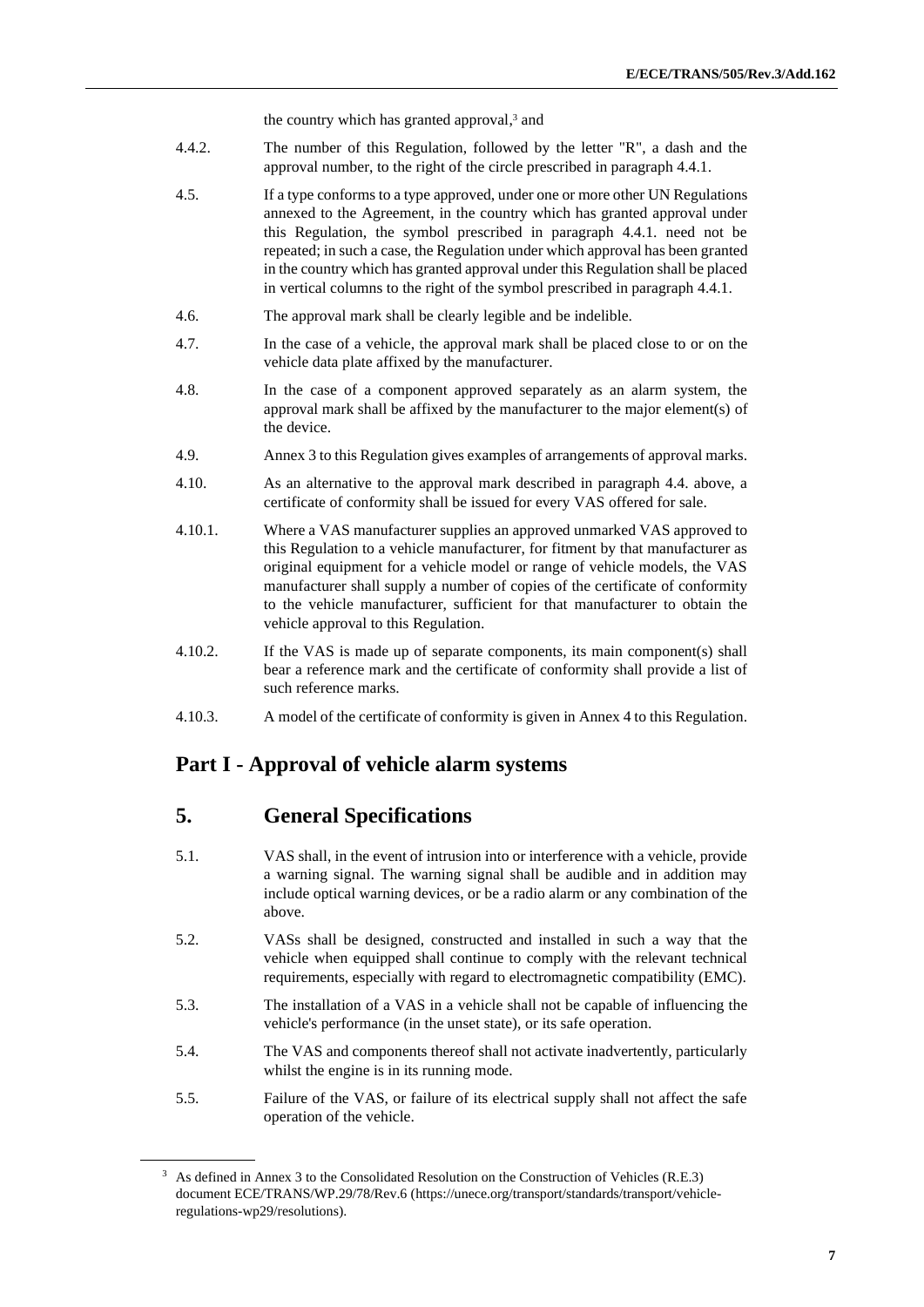the country which has granted approval, <sup>3</sup> and

- 4.4.2. The number of this Regulation, followed by the letter "R", a dash and the approval number, to the right of the circle prescribed in paragraph 4.4.1.
- 4.5. If a type conforms to a type approved, under one or more other UN Regulations annexed to the Agreement, in the country which has granted approval under this Regulation, the symbol prescribed in paragraph 4.4.1. need not be repeated; in such a case, the Regulation under which approval has been granted in the country which has granted approval under this Regulation shall be placed in vertical columns to the right of the symbol prescribed in paragraph 4.4.1.
- 4.6. The approval mark shall be clearly legible and be indelible.
- 4.7. In the case of a vehicle, the approval mark shall be placed close to or on the vehicle data plate affixed by the manufacturer.
- 4.8. In the case of a component approved separately as an alarm system, the approval mark shall be affixed by the manufacturer to the major element(s) of the device.
- 4.9. Annex 3 to this Regulation gives examples of arrangements of approval marks.
- 4.10. As an alternative to the approval mark described in paragraph 4.4. above, a certificate of conformity shall be issued for every VAS offered for sale.
- 4.10.1. Where a VAS manufacturer supplies an approved unmarked VAS approved to this Regulation to a vehicle manufacturer, for fitment by that manufacturer as original equipment for a vehicle model or range of vehicle models, the VAS manufacturer shall supply a number of copies of the certificate of conformity to the vehicle manufacturer, sufficient for that manufacturer to obtain the vehicle approval to this Regulation.
- 4.10.2. If the VAS is made up of separate components, its main component(s) shall bear a reference mark and the certificate of conformity shall provide a list of such reference marks.
- 4.10.3. A model of the certificate of conformity is given in Annex 4 to this Regulation.

#### **Part I - Approval of vehicle alarm systems**

#### **5. General Specifications**

- 5.1. VAS shall, in the event of intrusion into or interference with a vehicle, provide a warning signal. The warning signal shall be audible and in addition may include optical warning devices, or be a radio alarm or any combination of the above.
- 5.2. VASs shall be designed, constructed and installed in such a way that the vehicle when equipped shall continue to comply with the relevant technical requirements, especially with regard to electromagnetic compatibility (EMC).
- 5.3. The installation of a VAS in a vehicle shall not be capable of influencing the vehicle's performance (in the unset state), or its safe operation.
- 5.4. The VAS and components thereof shall not activate inadvertently, particularly whilst the engine is in its running mode.
- 5.5. Failure of the VAS, or failure of its electrical supply shall not affect the safe operation of the vehicle.

<sup>&</sup>lt;sup>3</sup> As defined in Annex 3 to the Consolidated Resolution on the Construction of Vehicles (R.E.3) document ECE/TRANS/WP.29/78/Rev.6 (https://unece.org/transport/standards/transport/vehicleregulations-wp29/resolutions).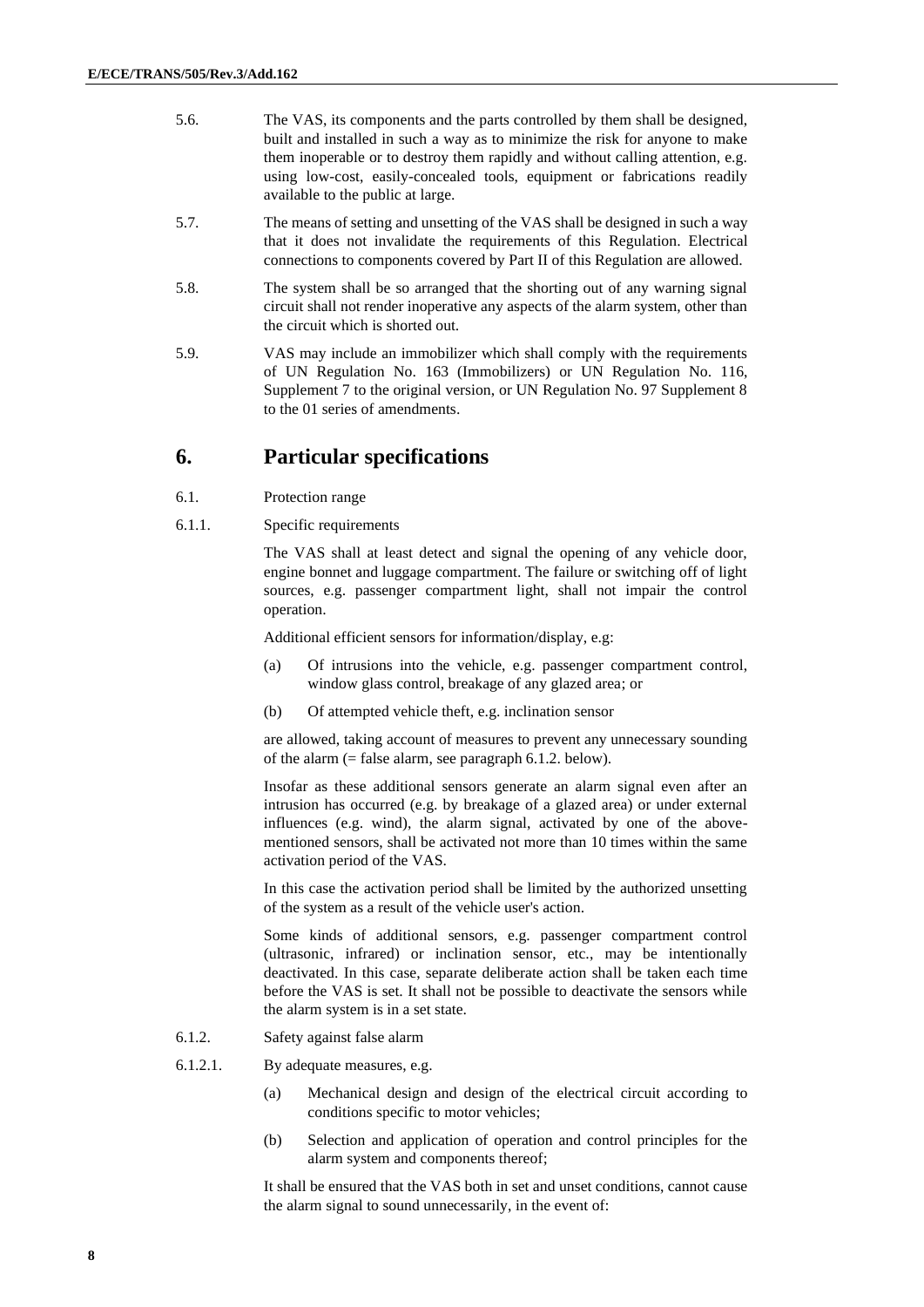- 5.6. The VAS, its components and the parts controlled by them shall be designed, built and installed in such a way as to minimize the risk for anyone to make them inoperable or to destroy them rapidly and without calling attention, e.g. using low-cost, easily-concealed tools, equipment or fabrications readily available to the public at large.
- 5.7. The means of setting and unsetting of the VAS shall be designed in such a way that it does not invalidate the requirements of this Regulation. Electrical connections to components covered by Part II of this Regulation are allowed.
- 5.8. The system shall be so arranged that the shorting out of any warning signal circuit shall not render inoperative any aspects of the alarm system, other than the circuit which is shorted out.
- 5.9. VAS may include an immobilizer which shall comply with the requirements of UN Regulation No. 163 (Immobilizers) or UN Regulation No. 116, Supplement 7 to the original version, or UN Regulation No. 97 Supplement 8 to the 01 series of amendments.

#### **6. Particular specifications**

- 6.1. Protection range
- 6.1.1. Specific requirements

The VAS shall at least detect and signal the opening of any vehicle door, engine bonnet and luggage compartment. The failure or switching off of light sources, e.g. passenger compartment light, shall not impair the control operation.

Additional efficient sensors for information/display, e.g:

- (a) Of intrusions into the vehicle, e.g. passenger compartment control, window glass control, breakage of any glazed area; or
- (b) Of attempted vehicle theft, e.g. inclination sensor

are allowed, taking account of measures to prevent any unnecessary sounding of the alarm  $(=$  false alarm, see paragraph 6.1.2. below).

Insofar as these additional sensors generate an alarm signal even after an intrusion has occurred (e.g. by breakage of a glazed area) or under external influences (e.g. wind), the alarm signal, activated by one of the abovementioned sensors, shall be activated not more than 10 times within the same activation period of the VAS.

In this case the activation period shall be limited by the authorized unsetting of the system as a result of the vehicle user's action.

Some kinds of additional sensors, e.g. passenger compartment control (ultrasonic, infrared) or inclination sensor, etc., may be intentionally deactivated. In this case, separate deliberate action shall be taken each time before the VAS is set. It shall not be possible to deactivate the sensors while the alarm system is in a set state.

- 6.1.2. Safety against false alarm
- 6.1.2.1. By adequate measures, e.g.
	- (a) Mechanical design and design of the electrical circuit according to conditions specific to motor vehicles;
	- (b) Selection and application of operation and control principles for the alarm system and components thereof;

It shall be ensured that the VAS both in set and unset conditions, cannot cause the alarm signal to sound unnecessarily, in the event of: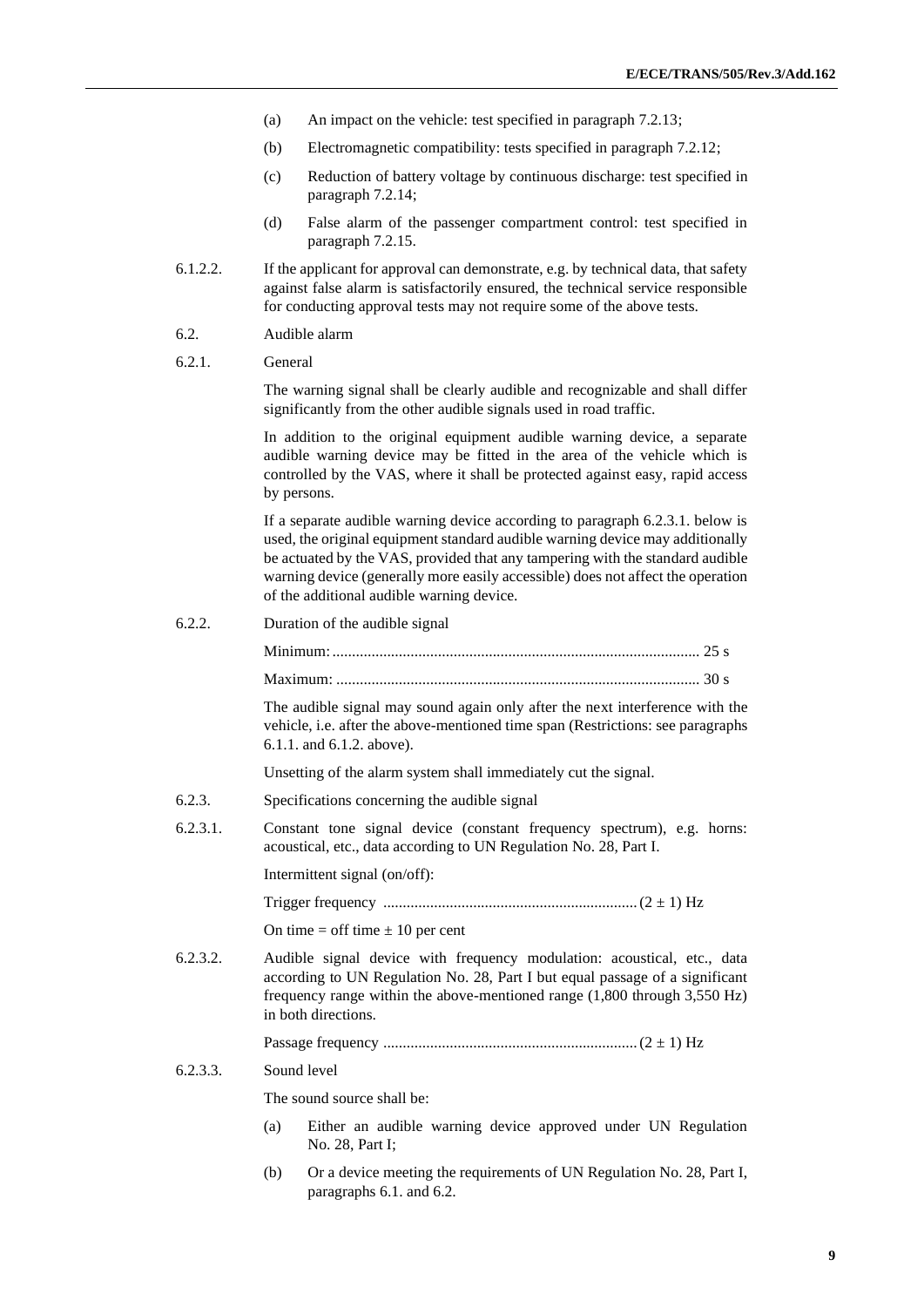- (a) An impact on the vehicle: test specified in paragraph 7.2.13;
- (b) Electromagnetic compatibility: tests specified in paragraph 7.2.12;
- (c) Reduction of battery voltage by continuous discharge: test specified in paragraph 7.2.14;
- (d) False alarm of the passenger compartment control: test specified in paragraph 7.2.15.
- 6.1.2.2. If the applicant for approval can demonstrate, e.g. by technical data, that safety against false alarm is satisfactorily ensured, the technical service responsible for conducting approval tests may not require some of the above tests.
- 6.2. Audible alarm
- 6.2.1. General

The warning signal shall be clearly audible and recognizable and shall differ significantly from the other audible signals used in road traffic.

In addition to the original equipment audible warning device, a separate audible warning device may be fitted in the area of the vehicle which is controlled by the VAS, where it shall be protected against easy, rapid access by persons.

If a separate audible warning device according to paragraph 6.2.3.1. below is used, the original equipment standard audible warning device may additionally be actuated by the VAS, provided that any tampering with the standard audible warning device (generally more easily accessible) does not affect the operation of the additional audible warning device.

6.2.2. Duration of the audible signal

The audible signal may sound again only after the next interference with the vehicle, i.e. after the above-mentioned time span (Restrictions: see paragraphs 6.1.1. and 6.1.2. above).

Unsetting of the alarm system shall immediately cut the signal.

- 6.2.3. Specifications concerning the audible signal
- 6.2.3.1. Constant tone signal device (constant frequency spectrum), e.g. horns: acoustical, etc., data according to UN Regulation No. 28, Part I.

Intermittent signal (on/off):

Trigger frequency .................................................................(2 ± 1) Hz

On time  $=$  off time  $\pm 10$  per cent

6.2.3.2. Audible signal device with frequency modulation: acoustical, etc., data according to UN Regulation No. 28, Part I but equal passage of a significant frequency range within the above-mentioned range (1,800 through 3,550 Hz) in both directions.

Passage frequency .................................................................(2 ± 1) Hz

#### 6.2.3.3. Sound level

The sound source shall be:

- (a) Either an audible warning device approved under UN Regulation No. 28, Part I;
- (b) Or a device meeting the requirements of UN Regulation No. 28, Part I, paragraphs 6.1. and 6.2.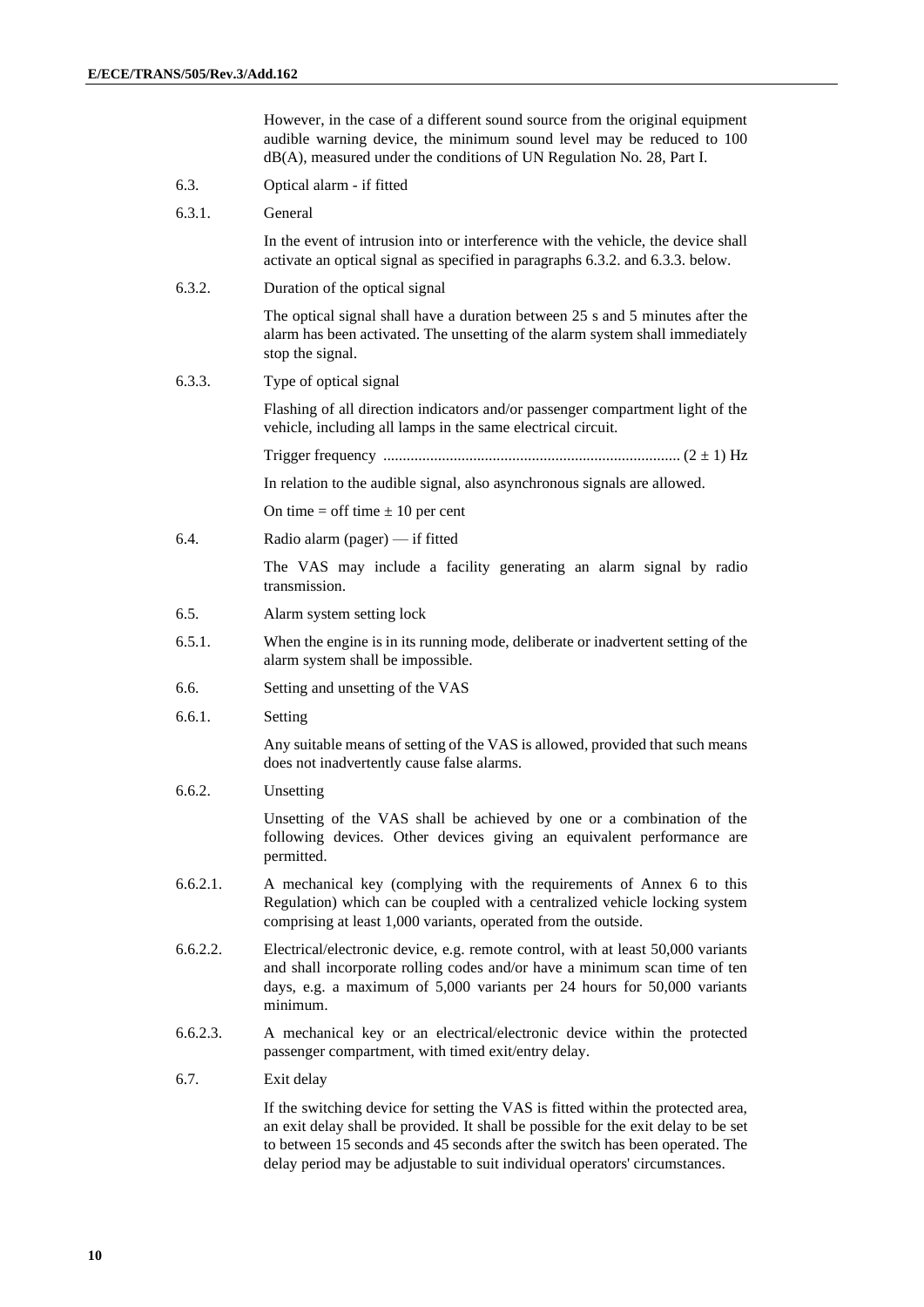However, in the case of a different sound source from the original equipment audible warning device, the minimum sound level may be reduced to 100 dB(A), measured under the conditions of UN Regulation No. 28, Part I.

- 6.3. Optical alarm if fitted
- 6.3.1. General

In the event of intrusion into or interference with the vehicle, the device shall activate an optical signal as specified in paragraphs 6.3.2. and 6.3.3. below.

6.3.2. Duration of the optical signal

The optical signal shall have a duration between 25 s and 5 minutes after the alarm has been activated. The unsetting of the alarm system shall immediately stop the signal.

6.3.3. Type of optical signal

Flashing of all direction indicators and/or passenger compartment light of the vehicle, including all lamps in the same electrical circuit.

Trigger frequency ............................................................................ (2 ± 1) Hz

In relation to the audible signal, also asynchronous signals are allowed.

On time  $=$  off time  $\pm 10$  per cent

6.4. Radio alarm (pager) — if fitted

The VAS may include a facility generating an alarm signal by radio transmission.

- 6.5. Alarm system setting lock
- 6.5.1. When the engine is in its running mode, deliberate or inadvertent setting of the alarm system shall be impossible.
- 6.6. Setting and unsetting of the VAS
- 6.6.1. Setting

Any suitable means of setting of the VAS is allowed, provided that such means does not inadvertently cause false alarms.

6.6.2. Unsetting

Unsetting of the VAS shall be achieved by one or a combination of the following devices. Other devices giving an equivalent performance are permitted.

- 6.6.2.1. A mechanical key (complying with the requirements of Annex 6 to this Regulation) which can be coupled with a centralized vehicle locking system comprising at least 1,000 variants, operated from the outside.
- 6.6.2.2. Electrical/electronic device, e.g. remote control, with at least 50,000 variants and shall incorporate rolling codes and/or have a minimum scan time of ten days, e.g. a maximum of 5,000 variants per 24 hours for 50,000 variants minimum.
- 6.6.2.3. A mechanical key or an electrical/electronic device within the protected passenger compartment, with timed exit/entry delay.
- 6.7. Exit delay

If the switching device for setting the VAS is fitted within the protected area, an exit delay shall be provided. It shall be possible for the exit delay to be set to between 15 seconds and 45 seconds after the switch has been operated. The delay period may be adjustable to suit individual operators' circumstances.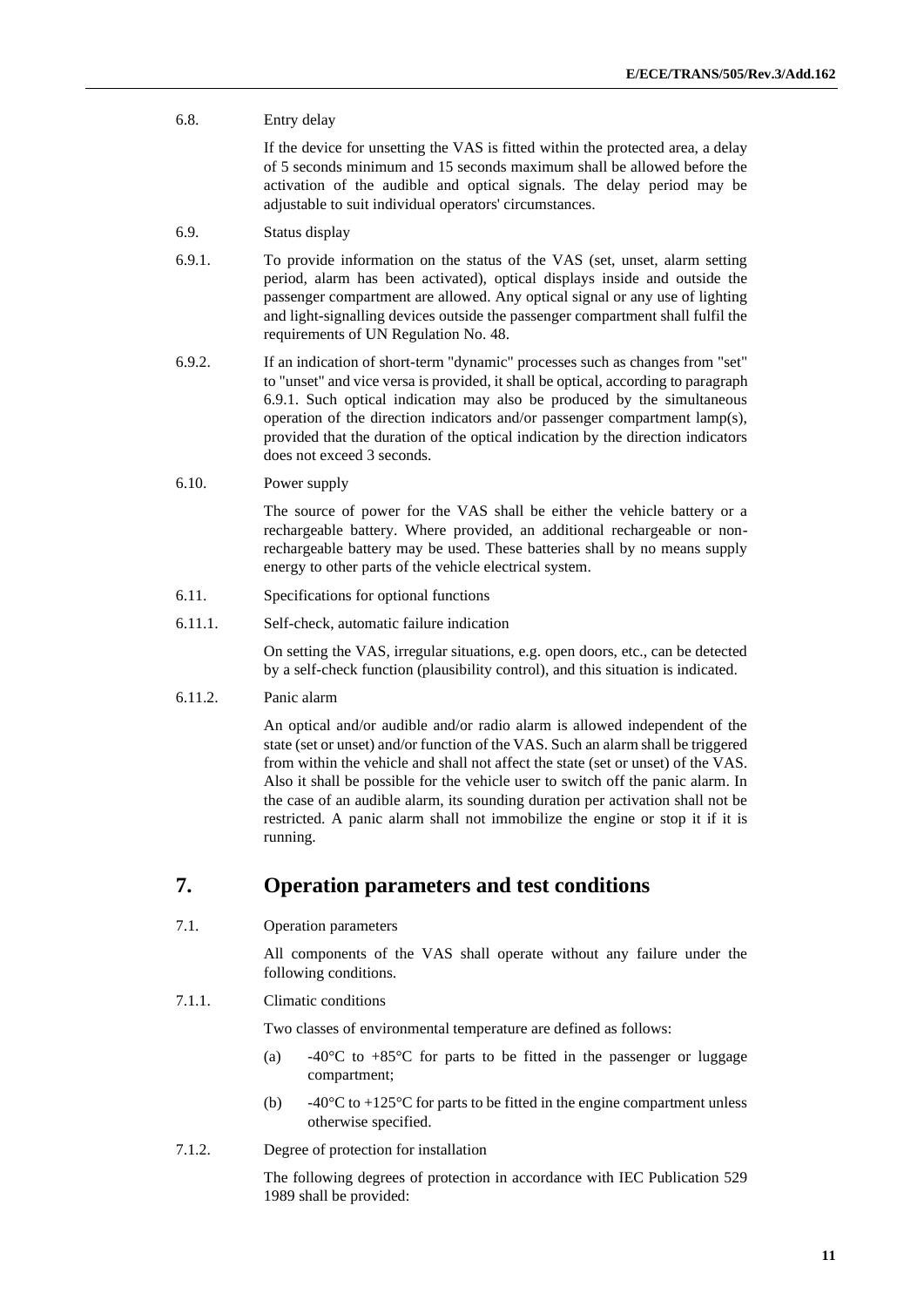#### 6.8. Entry delay

If the device for unsetting the VAS is fitted within the protected area, a delay of 5 seconds minimum and 15 seconds maximum shall be allowed before the activation of the audible and optical signals. The delay period may be adjustable to suit individual operators' circumstances.

#### 6.9. Status display

- 6.9.1. To provide information on the status of the VAS (set, unset, alarm setting period, alarm has been activated), optical displays inside and outside the passenger compartment are allowed. Any optical signal or any use of lighting and light-signalling devices outside the passenger compartment shall fulfil the requirements of UN Regulation No. 48.
- 6.9.2. If an indication of short-term "dynamic" processes such as changes from "set" to "unset" and vice versa is provided, it shall be optical, according to paragraph 6.9.1. Such optical indication may also be produced by the simultaneous operation of the direction indicators and/or passenger compartment lamp(s), provided that the duration of the optical indication by the direction indicators does not exceed 3 seconds.

#### 6.10. Power supply

The source of power for the VAS shall be either the vehicle battery or a rechargeable battery. Where provided, an additional rechargeable or nonrechargeable battery may be used. These batteries shall by no means supply energy to other parts of the vehicle electrical system.

#### 6.11. Specifications for optional functions

6.11.1. Self-check, automatic failure indication

On setting the VAS, irregular situations, e.g. open doors, etc., can be detected by a self-check function (plausibility control), and this situation is indicated.

#### 6.11.2. Panic alarm

An optical and/or audible and/or radio alarm is allowed independent of the state (set or unset) and/or function of the VAS. Such an alarm shall be triggered from within the vehicle and shall not affect the state (set or unset) of the VAS. Also it shall be possible for the vehicle user to switch off the panic alarm. In the case of an audible alarm, its sounding duration per activation shall not be restricted. A panic alarm shall not immobilize the engine or stop it if it is running.

#### **7. Operation parameters and test conditions**

7.1. Operation parameters

All components of the VAS shall operate without any failure under the following conditions.

#### 7.1.1. Climatic conditions

Two classes of environmental temperature are defined as follows:

- (a)  $-40^{\circ}$ C to  $+85^{\circ}$ C for parts to be fitted in the passenger or luggage compartment;
- (b)  $-40^{\circ}$ C to  $+125^{\circ}$ C for parts to be fitted in the engine compartment unless otherwise specified.
- 7.1.2. Degree of protection for installation

The following degrees of protection in accordance with IEC Publication 529 1989 shall be provided: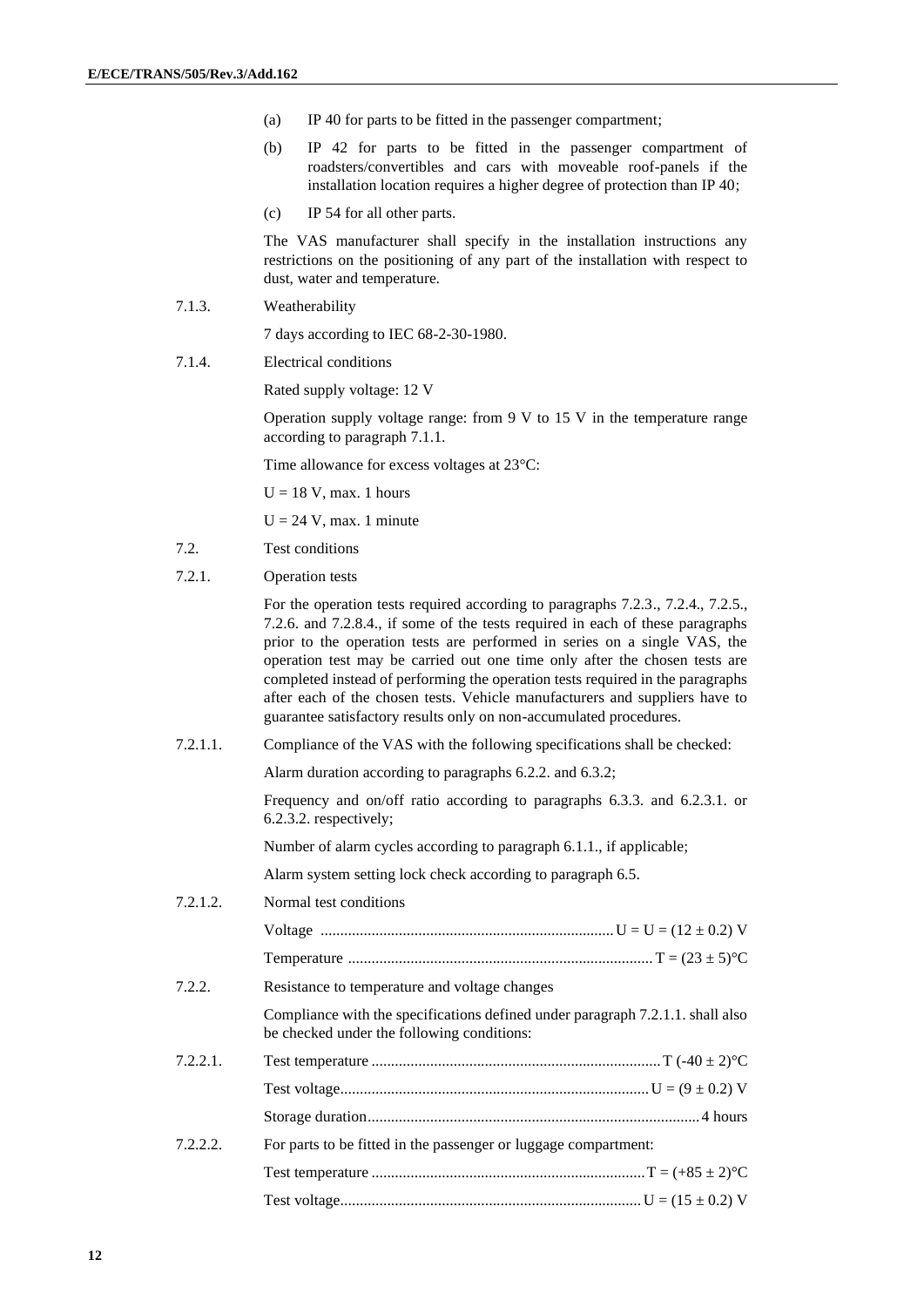- (a) IP 40 for parts to be fitted in the passenger compartment;
- (b) IP 42 for parts to be fitted in the passenger compartment of roadsters/convertibles and cars with moveable roof-panels if the installation location requires a higher degree of protection than IP 40;
- (c) IP 54 for all other parts.

The VAS manufacturer shall specify in the installation instructions any restrictions on the positioning of any part of the installation with respect to dust, water and temperature.

7.1.3. Weatherability

7 days according to IEC 68-2-30-1980.

7.1.4. Electrical conditions

Rated supply voltage: 12 V

Operation supply voltage range: from 9 V to 15 V in the temperature range according to paragraph 7.1.1.

Time allowance for excess voltages at 23°C:

 $U = 18$  V, max. 1 hours

 $U = 24$  V, max. 1 minute

- 7.2. Test conditions
- 7.2.1. Operation tests

For the operation tests required according to paragraphs 7.2.3., 7.2.4., 7.2.5., 7.2.6. and 7.2.8.4., if some of the tests required in each of these paragraphs prior to the operation tests are performed in series on a single VAS, the operation test may be carried out one time only after the chosen tests are completed instead of performing the operation tests required in the paragraphs after each of the chosen tests. Vehicle manufacturers and suppliers have to guarantee satisfactory results only on non-accumulated procedures.

7.2.1.1. Compliance of the VAS with the following specifications shall be checked:

Alarm duration according to paragraphs 6.2.2. and 6.3.2;

Frequency and on/off ratio according to paragraphs 6.3.3. and 6.2.3.1. or 6.2.3.2. respectively;

Number of alarm cycles according to paragraph 6.1.1., if applicable;

Alarm system setting lock check according to paragraph 6.5.

7.2.1.2. Normal test conditions Voltage ...........................................................................U = U = (12 ± 0.2) V Temperature .............................................................................. T = (23 ± 5)°C 7.2.2. Resistance to temperature and voltage changes Compliance with the specifications defined under paragraph 7.2.1.1. shall also be checked under the following conditions: 7.2.2.1. Test temperature ..........................................................................T (-40 ± 2)°C Test voltage...............................................................................U = (9 ± 0.2) V Storage duration.....................................................................................4 hours 7.2.2.2. For parts to be fitted in the passenger or luggage compartment: Test temperature ......................................................................T = (+85 ± 2)°C Test voltage............................................................................. U = (15 ± 0.2) V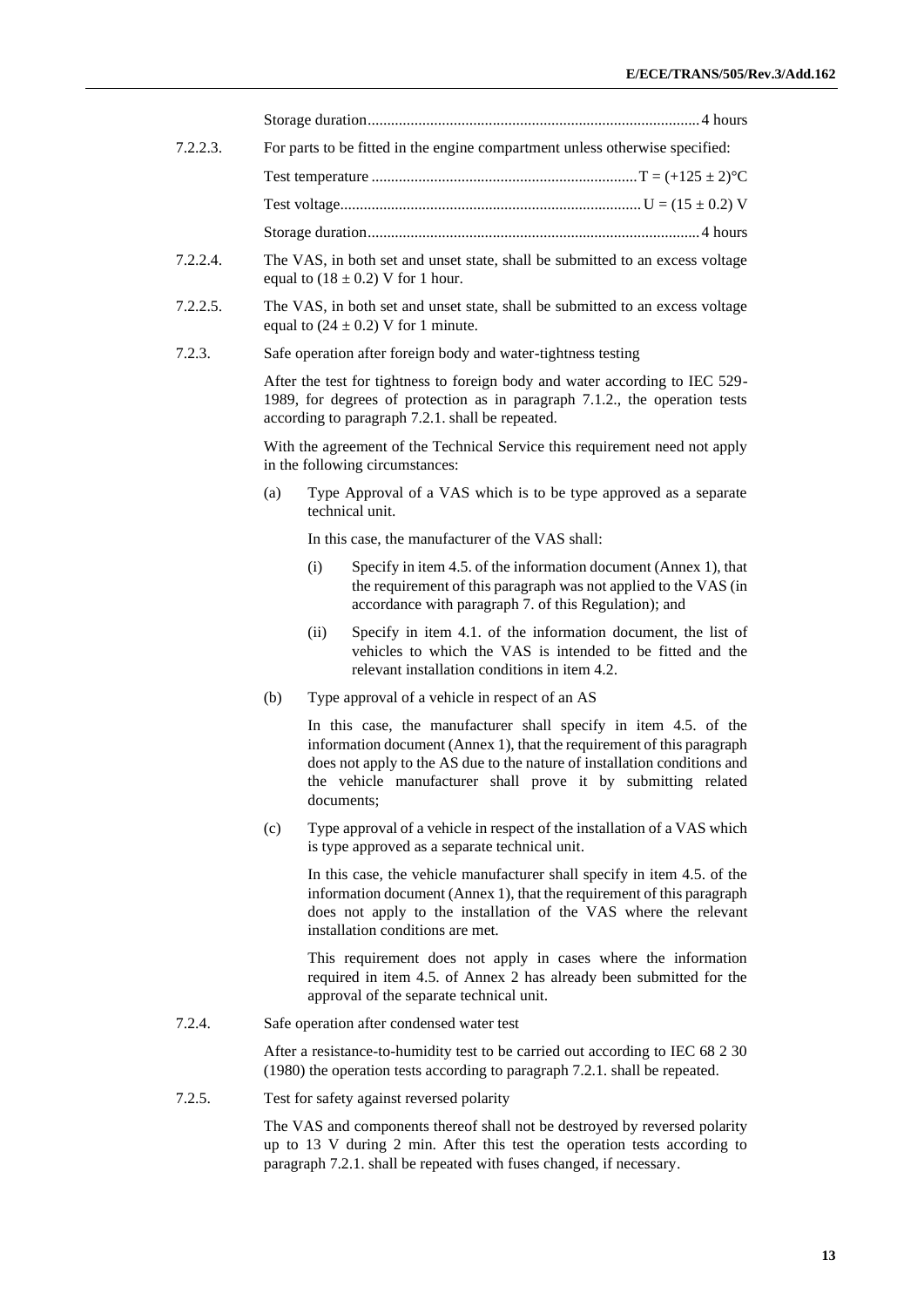| 7.2.2.3. | For parts to be fitted in the engine compartment unless otherwise specified:                                                                                                                                                                                                                           |  |
|----------|--------------------------------------------------------------------------------------------------------------------------------------------------------------------------------------------------------------------------------------------------------------------------------------------------------|--|
|          |                                                                                                                                                                                                                                                                                                        |  |
|          |                                                                                                                                                                                                                                                                                                        |  |
|          |                                                                                                                                                                                                                                                                                                        |  |
| 7.2.2.4. | The VAS, in both set and unset state, shall be submitted to an excess voltage<br>equal to $(18 \pm 0.2)$ V for 1 hour.                                                                                                                                                                                 |  |
| 7.2.2.5. | The VAS, in both set and unset state, shall be submitted to an excess voltage<br>equal to $(24 \pm 0.2)$ V for 1 minute.                                                                                                                                                                               |  |
| 7.2.3.   | Safe operation after foreign body and water-tightness testing                                                                                                                                                                                                                                          |  |
|          | After the test for tightness to foreign body and water according to IEC 529-<br>1989, for degrees of protection as in paragraph 7.1.2., the operation tests<br>according to paragraph 7.2.1. shall be repeated.                                                                                        |  |
|          | With the agreement of the Technical Service this requirement need not apply<br>in the following circumstances:                                                                                                                                                                                         |  |
|          | Type Approval of a VAS which is to be type approved as a separate<br>(a)<br>technical unit.                                                                                                                                                                                                            |  |
|          | In this case, the manufacturer of the VAS shall:                                                                                                                                                                                                                                                       |  |
|          | Specify in item 4.5. of the information document (Annex 1), that<br>(i)<br>the requirement of this paragraph was not applied to the VAS (in<br>accordance with paragraph 7. of this Regulation); and                                                                                                   |  |
|          | Specify in item 4.1. of the information document, the list of<br>(ii)<br>vehicles to which the VAS is intended to be fitted and the<br>relevant installation conditions in item 4.2.                                                                                                                   |  |
|          | Type approval of a vehicle in respect of an AS<br>(b)                                                                                                                                                                                                                                                  |  |
|          | In this case, the manufacturer shall specify in item 4.5. of the<br>information document (Annex 1), that the requirement of this paragraph<br>does not apply to the AS due to the nature of installation conditions and<br>the vehicle manufacturer shall prove it by submitting related<br>documents; |  |
|          | (c)<br>Type approval of a vehicle in respect of the installation of a VAS which<br>is type approved as a separate technical unit.                                                                                                                                                                      |  |
|          | In this case, the vehicle manufacturer shall specify in item 4.5, of the<br>information document (Annex 1), that the requirement of this paragraph<br>does not apply to the installation of the VAS where the relevant<br>installation conditions are met.                                             |  |
|          | This requirement does not apply in cases where the information<br>required in item 4.5. of Annex 2 has already been submitted for the<br>approval of the separate technical unit.                                                                                                                      |  |
| 7.2.4.   | Safe operation after condensed water test                                                                                                                                                                                                                                                              |  |
|          | After a resistance-to-humidity test to be carried out according to IEC 68 2 30<br>(1980) the operation tests according to paragraph 7.2.1. shall be repeated.                                                                                                                                          |  |
| 7.2.5.   | Test for safety against reversed polarity                                                                                                                                                                                                                                                              |  |
|          | The VAS and components thereof shall not be destroyed by reversed polarity<br>up to 13 V during 2 min. After this test the operation tests according to<br>paragraph 7.2.1. shall be repeated with fuses changed, if necessary.                                                                        |  |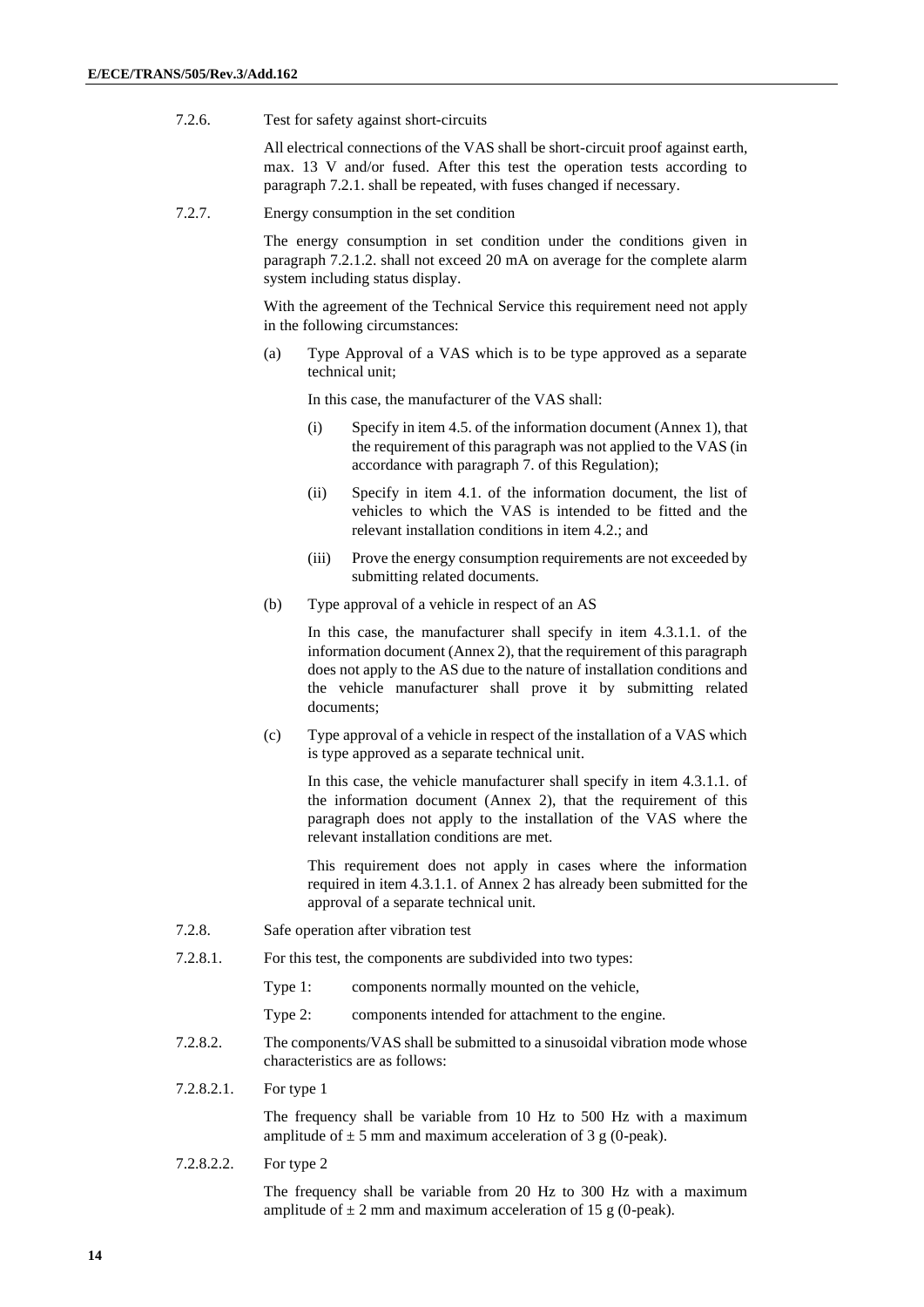7.2.6. Test for safety against short-circuits

All electrical connections of the VAS shall be short-circuit proof against earth, max. 13 V and/or fused. After this test the operation tests according to paragraph 7.2.1. shall be repeated, with fuses changed if necessary.

7.2.7. Energy consumption in the set condition

The energy consumption in set condition under the conditions given in paragraph 7.2.1.2. shall not exceed 20 mA on average for the complete alarm system including status display.

With the agreement of the Technical Service this requirement need not apply in the following circumstances:

(a) Type Approval of a VAS which is to be type approved as a separate technical unit;

In this case, the manufacturer of the VAS shall:

- (i) Specify in item 4.5. of the information document (Annex 1), that the requirement of this paragraph was not applied to the VAS (in accordance with paragraph 7. of this Regulation);
- (ii) Specify in item 4.1. of the information document, the list of vehicles to which the VAS is intended to be fitted and the relevant installation conditions in item 4.2.; and
- (iii) Prove the energy consumption requirements are not exceeded by submitting related documents.
- (b) Type approval of a vehicle in respect of an AS

In this case, the manufacturer shall specify in item 4.3.1.1. of the information document (Annex 2), that the requirement of this paragraph does not apply to the AS due to the nature of installation conditions and the vehicle manufacturer shall prove it by submitting related documents;

(c) Type approval of a vehicle in respect of the installation of a VAS which is type approved as a separate technical unit.

In this case, the vehicle manufacturer shall specify in item 4.3.1.1. of the information document (Annex 2), that the requirement of this paragraph does not apply to the installation of the VAS where the relevant installation conditions are met.

This requirement does not apply in cases where the information required in item 4.3.1.1. of Annex 2 has already been submitted for the approval of a separate technical unit.

- 7.2.8. Safe operation after vibration test
- 7.2.8.1. For this test, the components are subdivided into two types:

Type 1: components normally mounted on the vehicle,

Type 2: components intended for attachment to the engine.

- 7.2.8.2. The components/VAS shall be submitted to a sinusoidal vibration mode whose characteristics are as follows:
- 7.2.8.2.1. For type 1

The frequency shall be variable from 10 Hz to 500 Hz with a maximum amplitude of  $\pm$  5 mm and maximum acceleration of 3 g (0-peak).

7.2.8.2.2. For type 2

The frequency shall be variable from 20 Hz to 300 Hz with a maximum amplitude of  $\pm 2$  mm and maximum acceleration of 15 g (0-peak).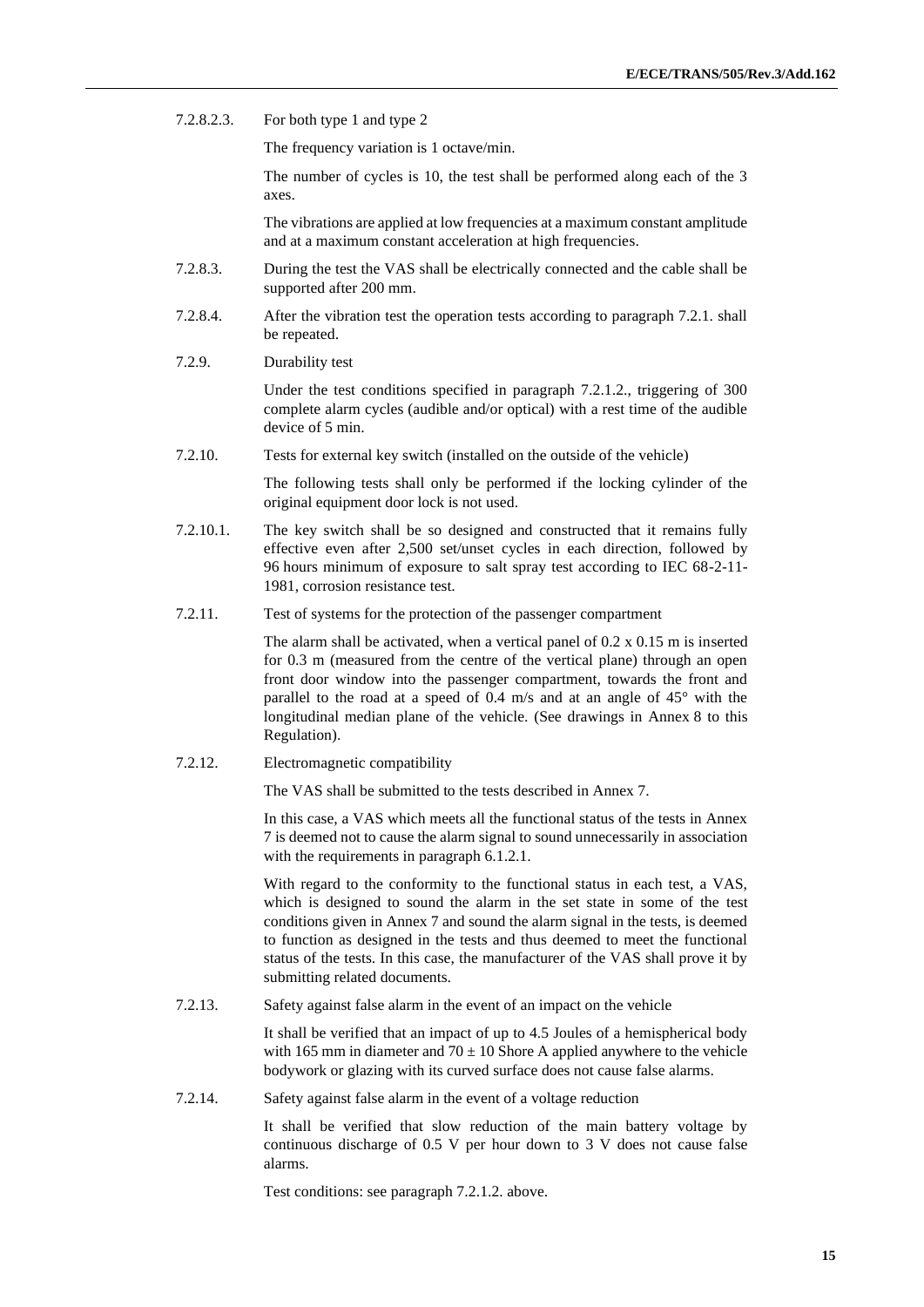7.2.8.2.3. For both type 1 and type 2

The frequency variation is 1 octave/min.

The number of cycles is 10, the test shall be performed along each of the 3 axes.

The vibrations are applied at low frequencies at a maximum constant amplitude and at a maximum constant acceleration at high frequencies.

- 7.2.8.3. During the test the VAS shall be electrically connected and the cable shall be supported after 200 mm.
- 7.2.8.4. After the vibration test the operation tests according to paragraph 7.2.1. shall be repeated.
- 7.2.9. Durability test

Under the test conditions specified in paragraph 7.2.1.2., triggering of 300 complete alarm cycles (audible and/or optical) with a rest time of the audible device of 5 min.

7.2.10. Tests for external key switch (installed on the outside of the vehicle)

The following tests shall only be performed if the locking cylinder of the original equipment door lock is not used.

- 7.2.10.1. The key switch shall be so designed and constructed that it remains fully effective even after 2,500 set/unset cycles in each direction, followed by 96 hours minimum of exposure to salt spray test according to IEC 68-2-11- 1981, corrosion resistance test.
- 7.2.11. Test of systems for the protection of the passenger compartment

The alarm shall be activated, when a vertical panel of 0.2 x 0.15 m is inserted for 0.3 m (measured from the centre of the vertical plane) through an open front door window into the passenger compartment, towards the front and parallel to the road at a speed of 0.4 m/s and at an angle of 45° with the longitudinal median plane of the vehicle. (See drawings in Annex 8 to this Regulation).

7.2.12. Electromagnetic compatibility

The VAS shall be submitted to the tests described in Annex 7.

In this case, a VAS which meets all the functional status of the tests in Annex 7 is deemed not to cause the alarm signal to sound unnecessarily in association with the requirements in paragraph  $6.1.2.1$ .

With regard to the conformity to the functional status in each test, a VAS, which is designed to sound the alarm in the set state in some of the test conditions given in Annex 7 and sound the alarm signal in the tests, is deemed to function as designed in the tests and thus deemed to meet the functional status of the tests. In this case, the manufacturer of the VAS shall prove it by submitting related documents.

7.2.13. Safety against false alarm in the event of an impact on the vehicle

It shall be verified that an impact of up to 4.5 Joules of a hemispherical body with 165 mm in diameter and  $70 \pm 10$  Shore A applied anywhere to the vehicle bodywork or glazing with its curved surface does not cause false alarms.

7.2.14. Safety against false alarm in the event of a voltage reduction

It shall be verified that slow reduction of the main battery voltage by continuous discharge of 0.5 V per hour down to 3 V does not cause false alarms.

Test conditions: see paragraph 7.2.1.2. above.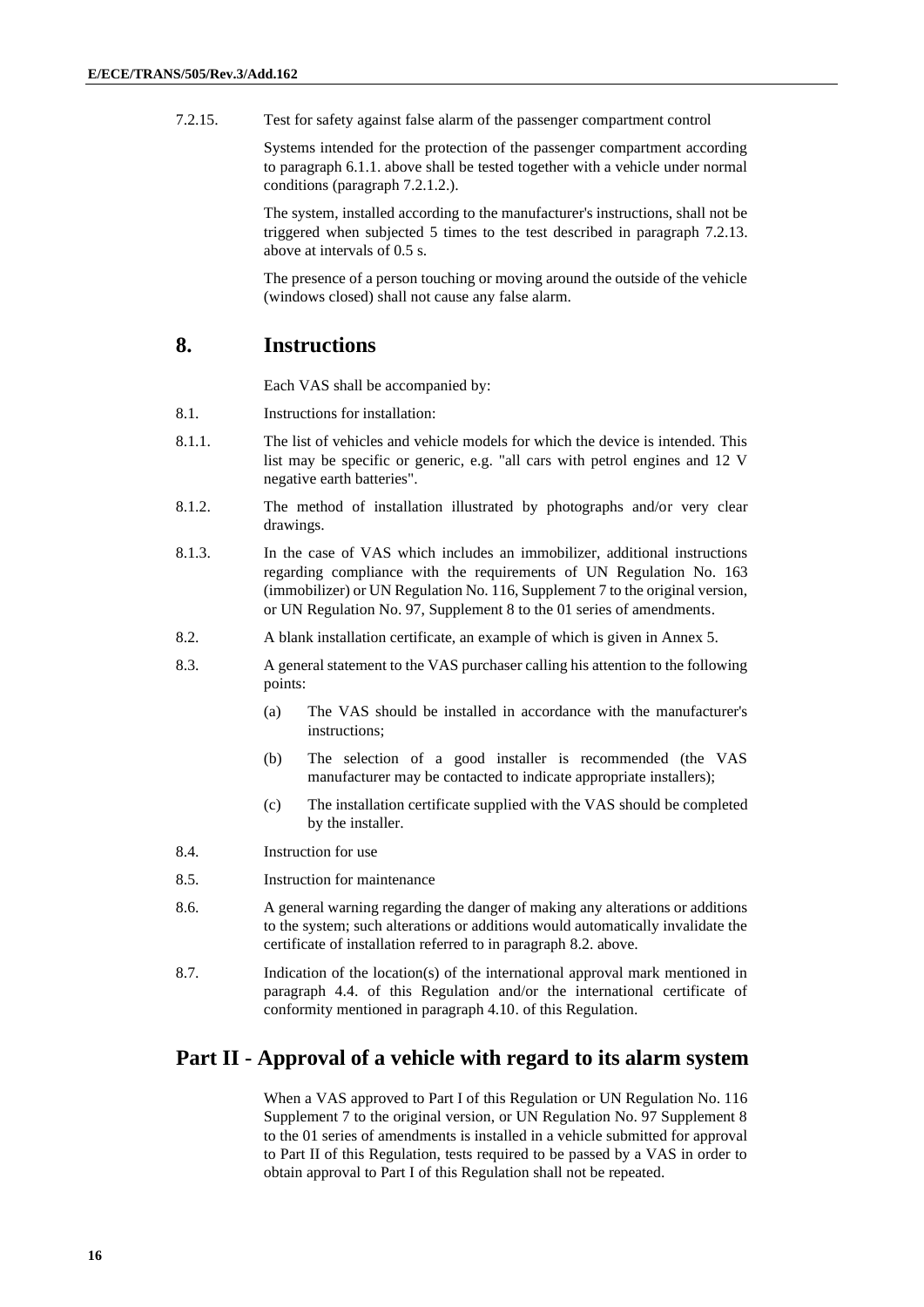7.2.15. Test for safety against false alarm of the passenger compartment control

Systems intended for the protection of the passenger compartment according to paragraph 6.1.1. above shall be tested together with a vehicle under normal conditions (paragraph 7.2.1.2.).

The system, installed according to the manufacturer's instructions, shall not be triggered when subjected 5 times to the test described in paragraph 7.2.13. above at intervals of 0.5 s.

The presence of a person touching or moving around the outside of the vehicle (windows closed) shall not cause any false alarm.

#### **8. Instructions**

Each VAS shall be accompanied by:

- 8.1. Instructions for installation:
- 8.1.1. The list of vehicles and vehicle models for which the device is intended. This list may be specific or generic, e.g. "all cars with petrol engines and 12 V negative earth batteries".
- 8.1.2. The method of installation illustrated by photographs and/or very clear drawings.
- 8.1.3. In the case of VAS which includes an immobilizer, additional instructions regarding compliance with the requirements of UN Regulation No. 163 (immobilizer) or UN Regulation No. 116, Supplement 7 to the original version, or UN Regulation No. 97, Supplement 8 to the 01 series of amendments.
- 8.2. A blank installation certificate, an example of which is given in Annex 5.
- 8.3. A general statement to the VAS purchaser calling his attention to the following points:
	- (a) The VAS should be installed in accordance with the manufacturer's instructions;
	- (b) The selection of a good installer is recommended (the VAS manufacturer may be contacted to indicate appropriate installers);
	- (c) The installation certificate supplied with the VAS should be completed by the installer.
- 8.4. Instruction for use
- 8.5. Instruction for maintenance
- 8.6. A general warning regarding the danger of making any alterations or additions to the system; such alterations or additions would automatically invalidate the certificate of installation referred to in paragraph 8.2. above.
- 8.7. Indication of the location(s) of the international approval mark mentioned in paragraph 4.4. of this Regulation and/or the international certificate of conformity mentioned in paragraph 4.10. of this Regulation.

#### **Part II - Approval of a vehicle with regard to its alarm system**

When a VAS approved to Part I of this Regulation or UN Regulation No. 116 Supplement 7 to the original version, or UN Regulation No. 97 Supplement 8 to the 01 series of amendments is installed in a vehicle submitted for approval to Part II of this Regulation, tests required to be passed by a VAS in order to obtain approval to Part I of this Regulation shall not be repeated.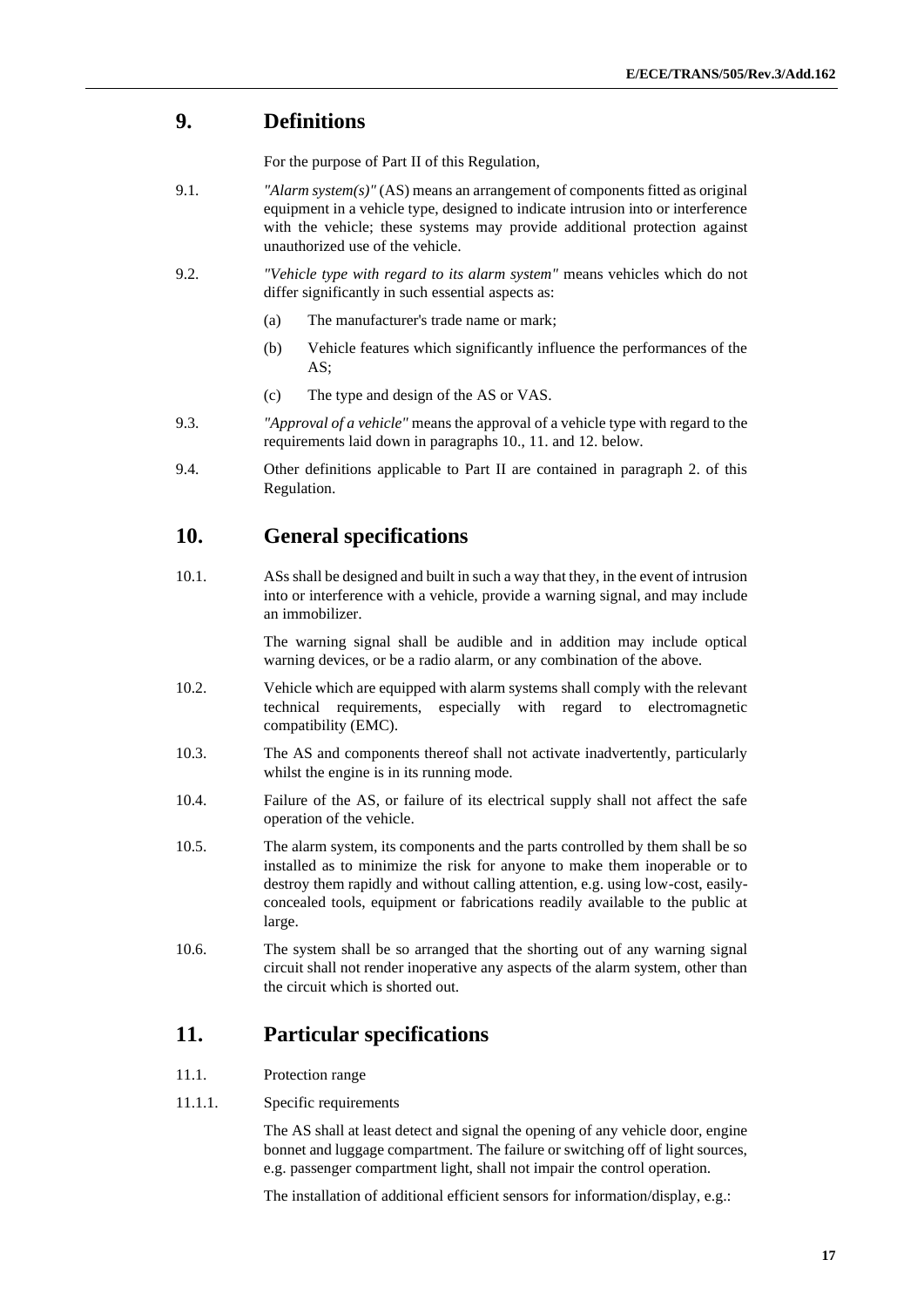### **9. Definitions**

For the purpose of Part II of this Regulation,

- 9.1. *"Alarm system(s)"* (AS) means an arrangement of components fitted as original equipment in a vehicle type, designed to indicate intrusion into or interference with the vehicle; these systems may provide additional protection against unauthorized use of the vehicle.
- 9.2. *"Vehicle type with regard to its alarm system"* means vehicles which do not differ significantly in such essential aspects as:
	- (a) The manufacturer's trade name or mark;
	- (b) Vehicle features which significantly influence the performances of the AS;
	- (c) The type and design of the AS or VAS.
- 9.3. *"Approval of a vehicle"* means the approval of a vehicle type with regard to the requirements laid down in paragraphs 10., 11. and 12. below.
- 9.4. Other definitions applicable to Part II are contained in paragraph 2. of this Regulation.

#### **10. General specifications**

10.1. ASs shall be designed and built in such a way that they, in the event of intrusion into or interference with a vehicle, provide a warning signal, and may include an immobilizer.

> The warning signal shall be audible and in addition may include optical warning devices, or be a radio alarm, or any combination of the above.

- 10.2. Vehicle which are equipped with alarm systems shall comply with the relevant technical requirements, especially with regard to electromagnetic compatibility (EMC).
- 10.3. The AS and components thereof shall not activate inadvertently, particularly whilst the engine is in its running mode.
- 10.4. Failure of the AS, or failure of its electrical supply shall not affect the safe operation of the vehicle.
- 10.5. The alarm system, its components and the parts controlled by them shall be so installed as to minimize the risk for anyone to make them inoperable or to destroy them rapidly and without calling attention, e.g. using low-cost, easilyconcealed tools, equipment or fabrications readily available to the public at large.
- 10.6. The system shall be so arranged that the shorting out of any warning signal circuit shall not render inoperative any aspects of the alarm system, other than the circuit which is shorted out.

#### **11. Particular specifications**

- 11.1. Protection range
- 11.1.1. Specific requirements

The AS shall at least detect and signal the opening of any vehicle door, engine bonnet and luggage compartment. The failure or switching off of light sources, e.g. passenger compartment light, shall not impair the control operation.

The installation of additional efficient sensors for information/display, e.g.: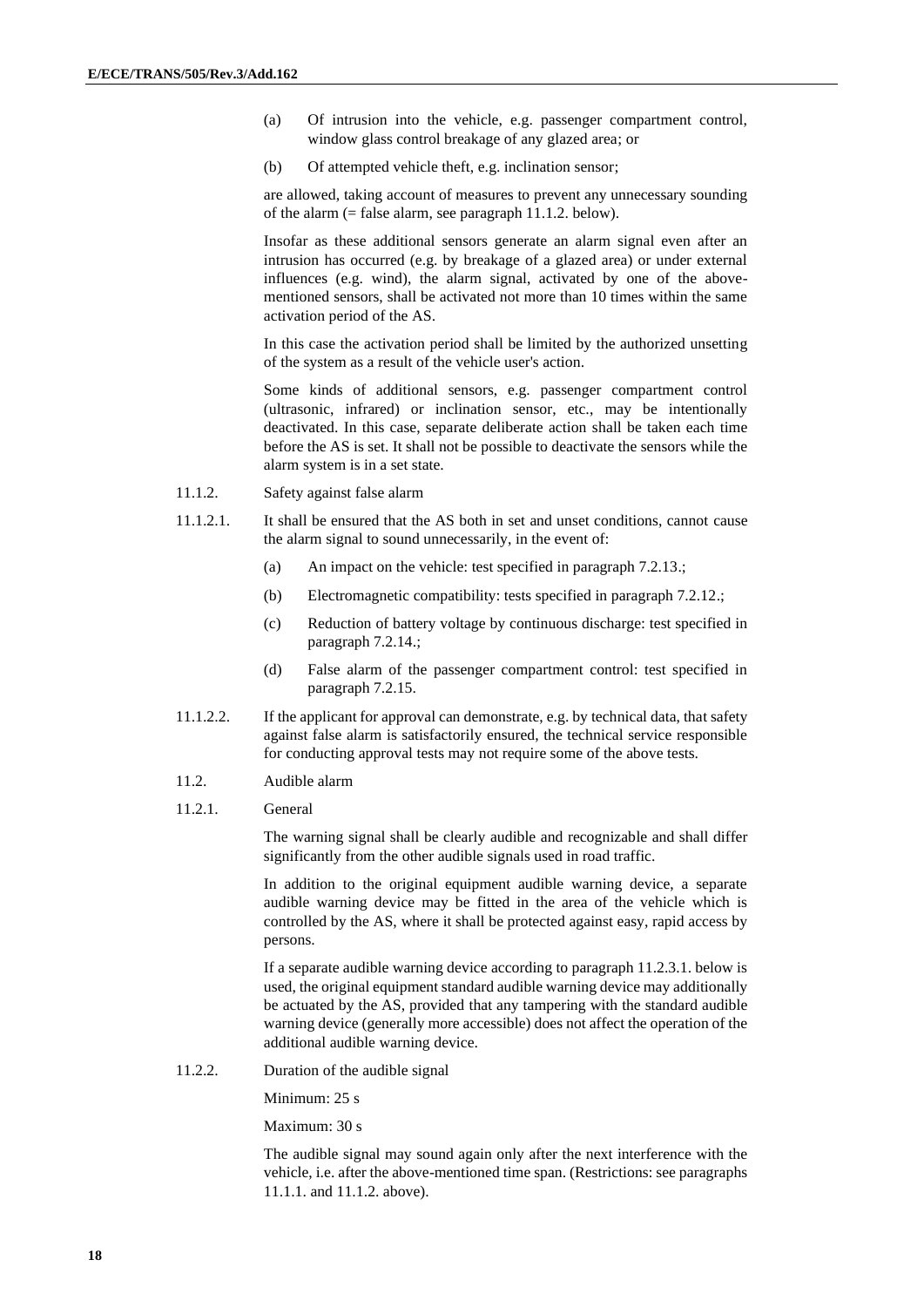- (a) Of intrusion into the vehicle, e.g. passenger compartment control, window glass control breakage of any glazed area; or
- (b) Of attempted vehicle theft, e.g. inclination sensor;

are allowed, taking account of measures to prevent any unnecessary sounding of the alarm  $(=$  false alarm, see paragraph 11.1.2. below).

Insofar as these additional sensors generate an alarm signal even after an intrusion has occurred (e.g. by breakage of a glazed area) or under external influences (e.g. wind), the alarm signal, activated by one of the abovementioned sensors, shall be activated not more than 10 times within the same activation period of the AS.

In this case the activation period shall be limited by the authorized unsetting of the system as a result of the vehicle user's action.

Some kinds of additional sensors, e.g. passenger compartment control (ultrasonic, infrared) or inclination sensor, etc., may be intentionally deactivated. In this case, separate deliberate action shall be taken each time before the AS is set. It shall not be possible to deactivate the sensors while the alarm system is in a set state.

- 11.1.2. Safety against false alarm
- 11.1.2.1. It shall be ensured that the AS both in set and unset conditions, cannot cause the alarm signal to sound unnecessarily, in the event of:
	- (a) An impact on the vehicle: test specified in paragraph 7.2.13.;
	- (b) Electromagnetic compatibility: tests specified in paragraph 7.2.12.;
	- (c) Reduction of battery voltage by continuous discharge: test specified in paragraph 7.2.14.;
	- (d) False alarm of the passenger compartment control: test specified in paragraph 7.2.15.
- 11.1.2.2. If the applicant for approval can demonstrate, e.g. by technical data, that safety against false alarm is satisfactorily ensured, the technical service responsible for conducting approval tests may not require some of the above tests.
- 11.2. Audible alarm
- 11.2.1. General

The warning signal shall be clearly audible and recognizable and shall differ significantly from the other audible signals used in road traffic.

In addition to the original equipment audible warning device, a separate audible warning device may be fitted in the area of the vehicle which is controlled by the AS, where it shall be protected against easy, rapid access by persons.

If a separate audible warning device according to paragraph 11.2.3.1. below is used, the original equipment standard audible warning device may additionally be actuated by the AS, provided that any tampering with the standard audible warning device (generally more accessible) does not affect the operation of the additional audible warning device.

11.2.2. Duration of the audible signal

Minimum: 25 s

Maximum: 30 s

The audible signal may sound again only after the next interference with the vehicle, i.e. after the above-mentioned time span. (Restrictions: see paragraphs 11.1.1. and 11.1.2. above).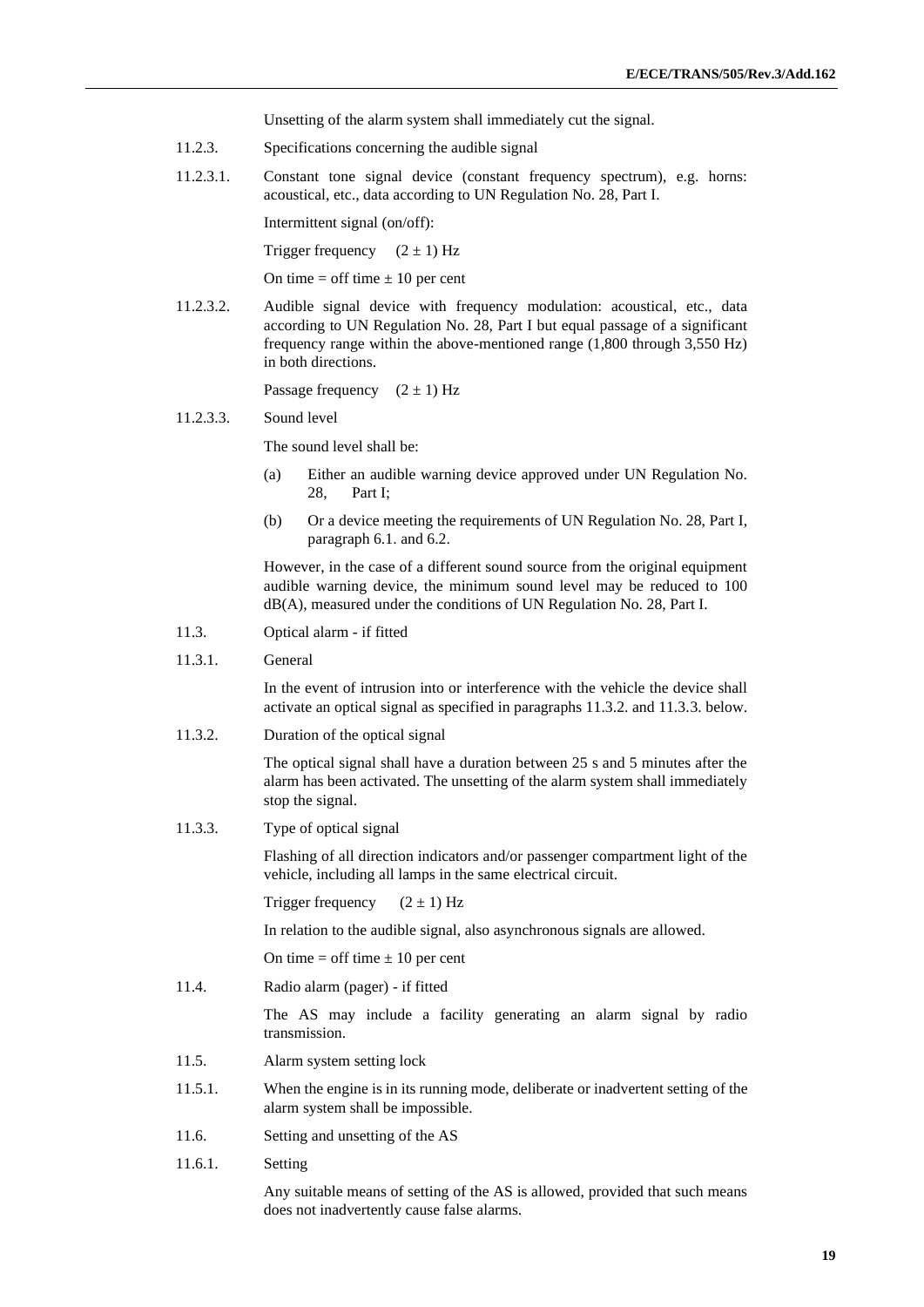Unsetting of the alarm system shall immediately cut the signal.

- 11.2.3. Specifications concerning the audible signal
- 11.2.3.1. Constant tone signal device (constant frequency spectrum), e.g. horns: acoustical, etc., data according to UN Regulation No. 28, Part I.

Intermittent signal (on/off):

Trigger frequency  $(2 \pm 1)$  Hz

On time  $=$  off time  $\pm 10$  per cent

11.2.3.2. Audible signal device with frequency modulation: acoustical, etc., data according to UN Regulation No. 28, Part I but equal passage of a significant frequency range within the above-mentioned range (1,800 through 3,550 Hz) in both directions.

Passage frequency  $(2 \pm 1)$  Hz

#### 11.2.3.3. Sound level

The sound level shall be:

- (a) Either an audible warning device approved under UN Regulation No. 28, Part I;
- (b) Or a device meeting the requirements of UN Regulation No. 28, Part I, paragraph 6.1. and 6.2.

However, in the case of a different sound source from the original equipment audible warning device, the minimum sound level may be reduced to 100 dB(A), measured under the conditions of UN Regulation No. 28, Part I.

- 11.3. Optical alarm if fitted
- 11.3.1. General

In the event of intrusion into or interference with the vehicle the device shall activate an optical signal as specified in paragraphs 11.3.2. and 11.3.3. below.

11.3.2. Duration of the optical signal

The optical signal shall have a duration between 25 s and 5 minutes after the alarm has been activated. The unsetting of the alarm system shall immediately stop the signal.

11.3.3. Type of optical signal

Flashing of all direction indicators and/or passenger compartment light of the vehicle, including all lamps in the same electrical circuit.

Trigger frequency  $(2 \pm 1)$  Hz

In relation to the audible signal, also asynchronous signals are allowed.

On time  $=$  off time  $\pm 10$  per cent

11.4. Radio alarm (pager) - if fitted

The AS may include a facility generating an alarm signal by radio transmission.

- 11.5. Alarm system setting lock
- 11.5.1. When the engine is in its running mode, deliberate or inadvertent setting of the alarm system shall be impossible.
- 11.6. Setting and unsetting of the AS
- 11.6.1. Setting

Any suitable means of setting of the AS is allowed, provided that such means does not inadvertently cause false alarms.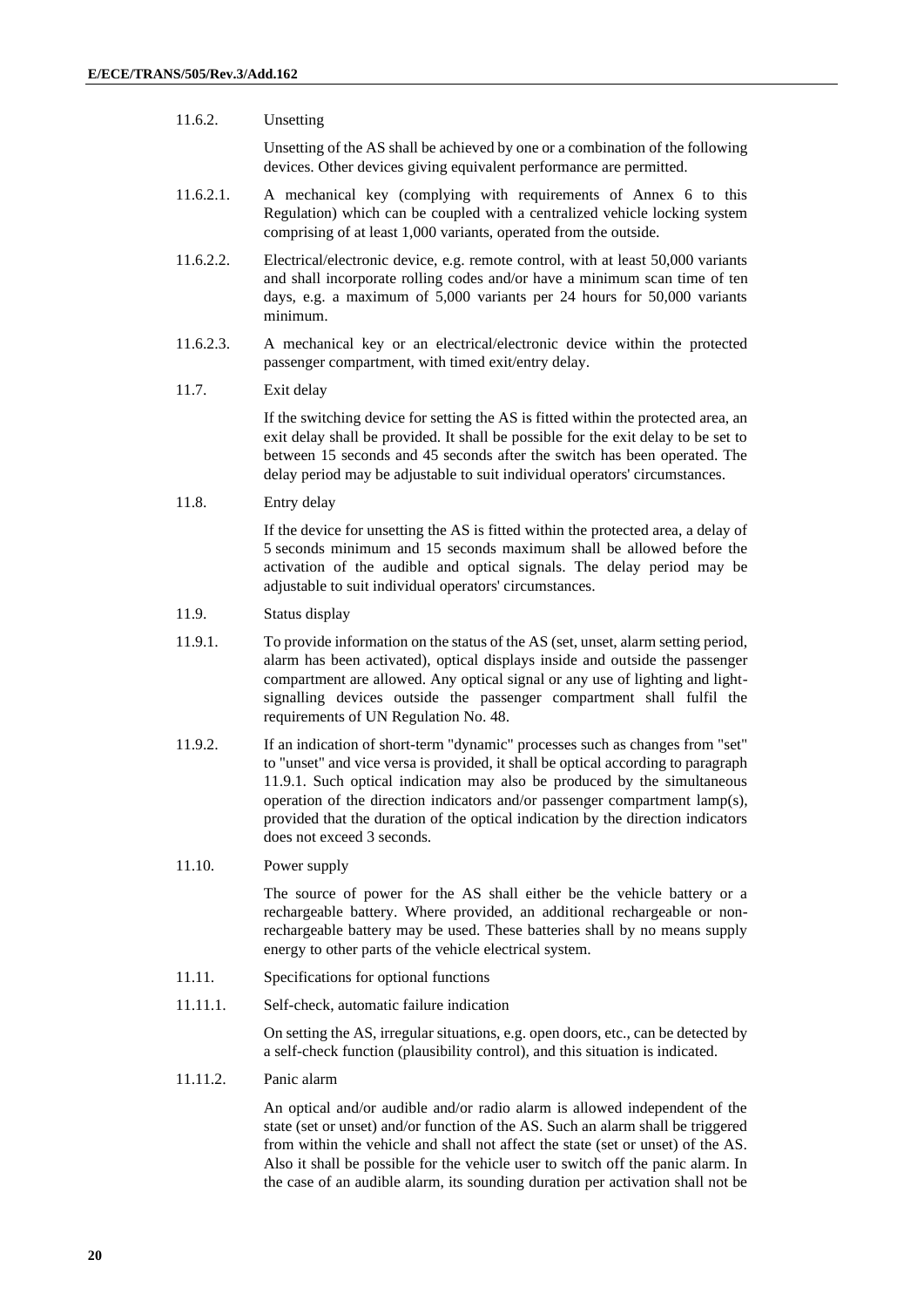#### 11.6.2. Unsetting

Unsetting of the AS shall be achieved by one or a combination of the following devices. Other devices giving equivalent performance are permitted.

- 11.6.2.1. A mechanical key (complying with requirements of Annex 6 to this Regulation) which can be coupled with a centralized vehicle locking system comprising of at least 1,000 variants, operated from the outside.
- 11.6.2.2. Electrical/electronic device, e.g. remote control, with at least 50,000 variants and shall incorporate rolling codes and/or have a minimum scan time of ten days, e.g. a maximum of 5,000 variants per 24 hours for 50,000 variants minimum.
- 11.6.2.3. A mechanical key or an electrical/electronic device within the protected passenger compartment, with timed exit/entry delay.
- 11.7. Exit delay

If the switching device for setting the AS is fitted within the protected area, an exit delay shall be provided. It shall be possible for the exit delay to be set to between 15 seconds and 45 seconds after the switch has been operated. The delay period may be adjustable to suit individual operators' circumstances.

11.8. Entry delay

If the device for unsetting the AS is fitted within the protected area, a delay of 5 seconds minimum and 15 seconds maximum shall be allowed before the activation of the audible and optical signals. The delay period may be adjustable to suit individual operators' circumstances.

- 11.9. Status display
- 11.9.1. To provide information on the status of the AS (set, unset, alarm setting period, alarm has been activated), optical displays inside and outside the passenger compartment are allowed. Any optical signal or any use of lighting and lightsignalling devices outside the passenger compartment shall fulfil the requirements of UN Regulation No. 48.
- 11.9.2. If an indication of short-term "dynamic" processes such as changes from "set" to "unset" and vice versa is provided, it shall be optical according to paragraph 11.9.1. Such optical indication may also be produced by the simultaneous operation of the direction indicators and/or passenger compartment lamp(s), provided that the duration of the optical indication by the direction indicators does not exceed 3 seconds.

#### 11.10. Power supply

The source of power for the AS shall either be the vehicle battery or a rechargeable battery. Where provided, an additional rechargeable or nonrechargeable battery may be used. These batteries shall by no means supply energy to other parts of the vehicle electrical system.

- 11.11. Specifications for optional functions
- 11.11.1. Self-check, automatic failure indication

On setting the AS, irregular situations, e.g. open doors, etc., can be detected by a self-check function (plausibility control), and this situation is indicated.

11.11.2. Panic alarm

An optical and/or audible and/or radio alarm is allowed independent of the state (set or unset) and/or function of the AS. Such an alarm shall be triggered from within the vehicle and shall not affect the state (set or unset) of the AS. Also it shall be possible for the vehicle user to switch off the panic alarm. In the case of an audible alarm, its sounding duration per activation shall not be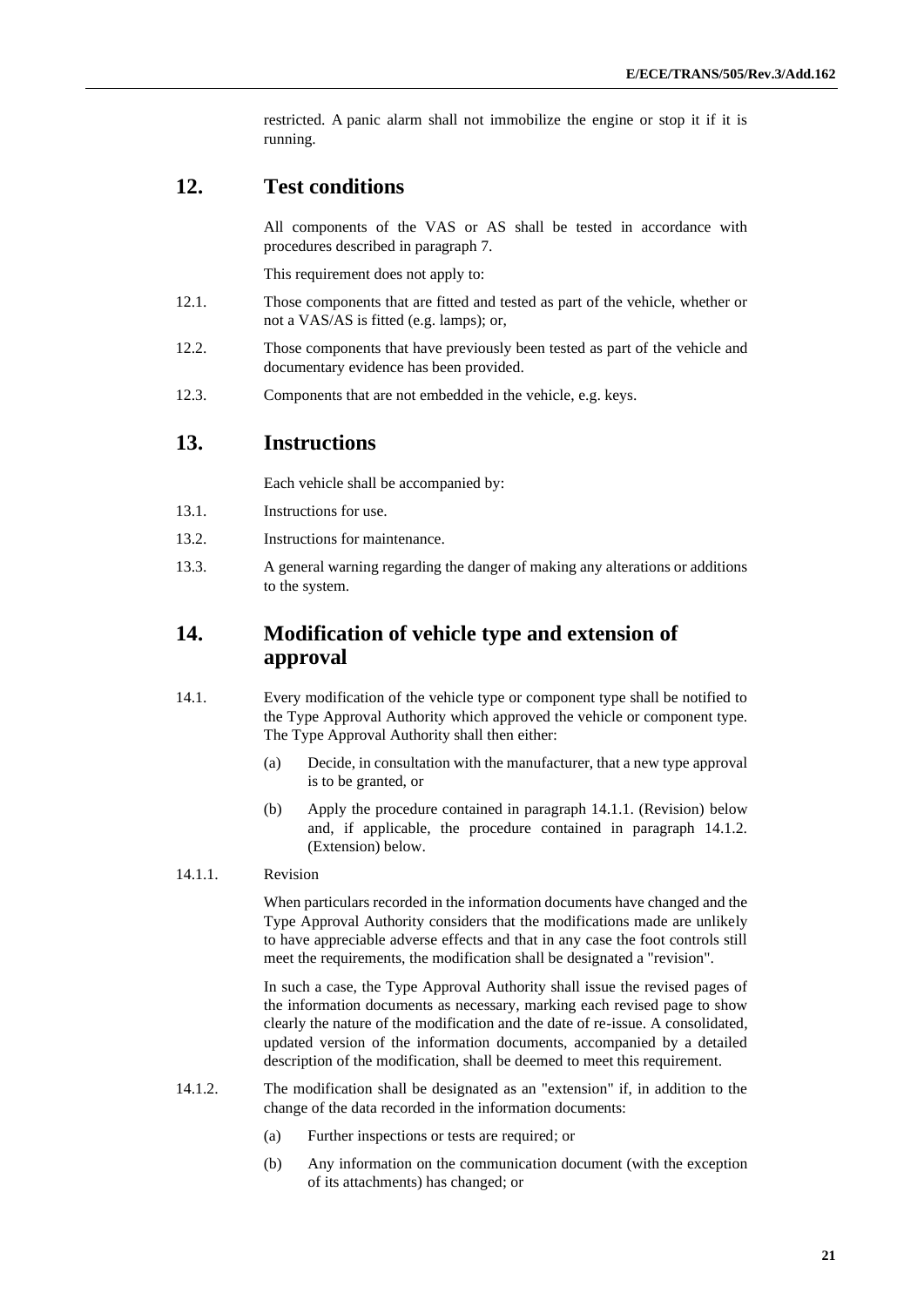restricted. A panic alarm shall not immobilize the engine or stop it if it is running.

#### **12. Test conditions**

All components of the VAS or AS shall be tested in accordance with procedures described in paragraph 7.

This requirement does not apply to:

- 12.1. Those components that are fitted and tested as part of the vehicle, whether or not a VAS/AS is fitted (e.g. lamps); or,
- 12.2. Those components that have previously been tested as part of the vehicle and documentary evidence has been provided.
- 12.3. Components that are not embedded in the vehicle, e.g. keys.

### **13. Instructions**

Each vehicle shall be accompanied by:

- 13.1. Instructions for use.
- 13.2. Instructions for maintenance.
- 13.3. A general warning regarding the danger of making any alterations or additions to the system.

### **14. Modification of vehicle type and extension of approval**

- 14.1. Every modification of the vehicle type or component type shall be notified to the Type Approval Authority which approved the vehicle or component type. The Type Approval Authority shall then either:
	- (a) Decide, in consultation with the manufacturer, that a new type approval is to be granted, or
	- (b) Apply the procedure contained in paragraph 14.1.1. (Revision) below and, if applicable, the procedure contained in paragraph 14.1.2. (Extension) below.

#### 14.1.1. Revision

When particulars recorded in the information documents have changed and the Type Approval Authority considers that the modifications made are unlikely to have appreciable adverse effects and that in any case the foot controls still meet the requirements, the modification shall be designated a "revision".

In such a case, the Type Approval Authority shall issue the revised pages of the information documents as necessary, marking each revised page to show clearly the nature of the modification and the date of re-issue. A consolidated, updated version of the information documents, accompanied by a detailed description of the modification, shall be deemed to meet this requirement.

- 14.1.2. The modification shall be designated as an "extension" if, in addition to the change of the data recorded in the information documents:
	- (a) Further inspections or tests are required; or
	- (b) Any information on the communication document (with the exception of its attachments) has changed; or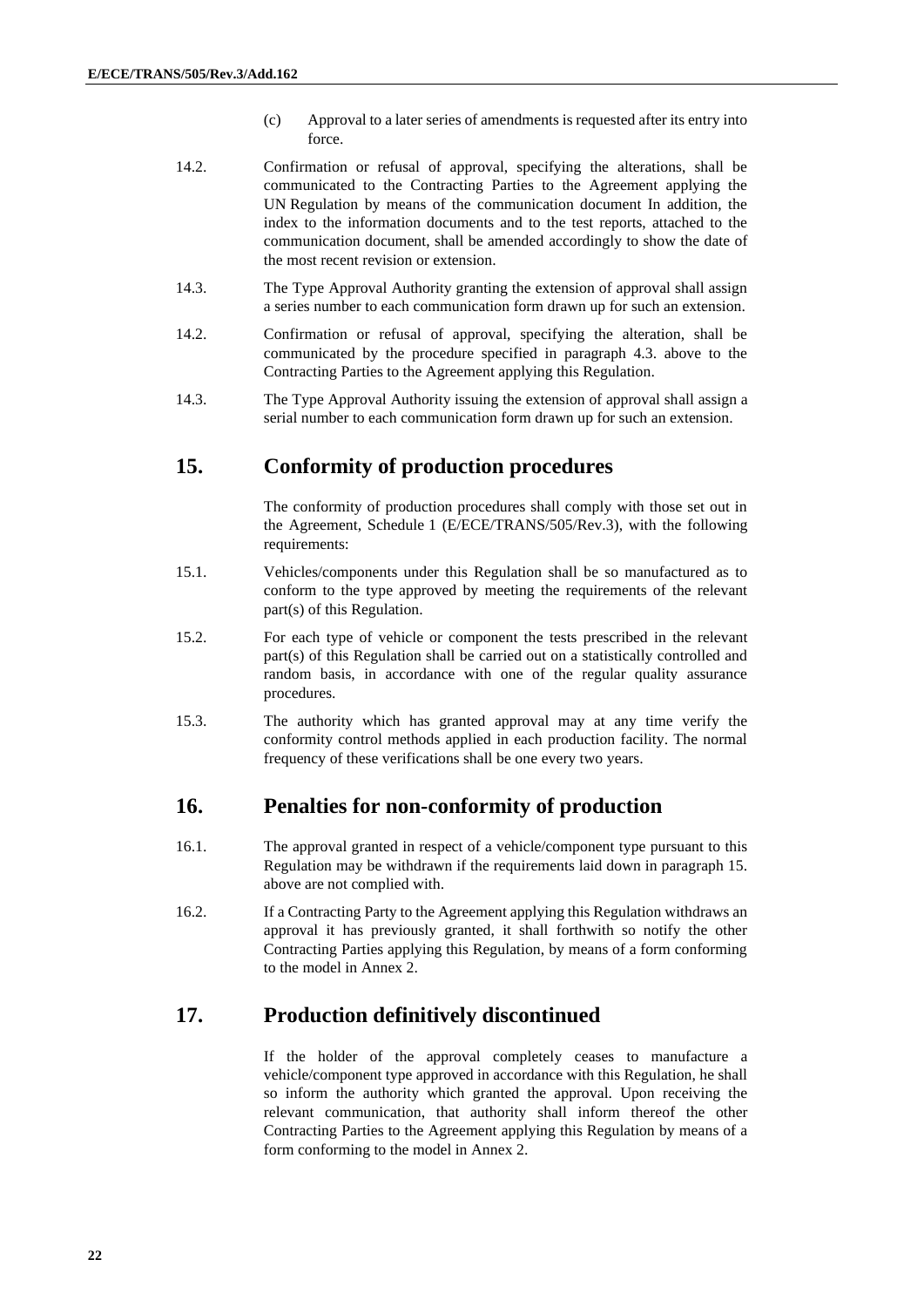- (c) Approval to a later series of amendments is requested after its entry into force.
- 14.2. Confirmation or refusal of approval, specifying the alterations, shall be communicated to the Contracting Parties to the Agreement applying the UN Regulation by means of the communication document In addition, the index to the information documents and to the test reports, attached to the communication document, shall be amended accordingly to show the date of the most recent revision or extension.
- 14.3. The Type Approval Authority granting the extension of approval shall assign a series number to each communication form drawn up for such an extension.
- 14.2. Confirmation or refusal of approval, specifying the alteration, shall be communicated by the procedure specified in paragraph 4.3. above to the Contracting Parties to the Agreement applying this Regulation.
- 14.3. The Type Approval Authority issuing the extension of approval shall assign a serial number to each communication form drawn up for such an extension.

### **15. Conformity of production procedures**

The conformity of production procedures shall comply with those set out in the Agreement, Schedule 1 (E/ECE/TRANS/505/Rev.3), with the following requirements:

- 15.1. Vehicles/components under this Regulation shall be so manufactured as to conform to the type approved by meeting the requirements of the relevant part(s) of this Regulation.
- 15.2. For each type of vehicle or component the tests prescribed in the relevant part(s) of this Regulation shall be carried out on a statistically controlled and random basis, in accordance with one of the regular quality assurance procedures.
- 15.3. The authority which has granted approval may at any time verify the conformity control methods applied in each production facility. The normal frequency of these verifications shall be one every two years.

#### **16. Penalties for non-conformity of production**

- 16.1. The approval granted in respect of a vehicle/component type pursuant to this Regulation may be withdrawn if the requirements laid down in paragraph 15. above are not complied with.
- 16.2. If a Contracting Party to the Agreement applying this Regulation withdraws an approval it has previously granted, it shall forthwith so notify the other Contracting Parties applying this Regulation, by means of a form conforming to the model in Annex 2.

#### **17. Production definitively discontinued**

If the holder of the approval completely ceases to manufacture a vehicle/component type approved in accordance with this Regulation, he shall so inform the authority which granted the approval. Upon receiving the relevant communication, that authority shall inform thereof the other Contracting Parties to the Agreement applying this Regulation by means of a form conforming to the model in Annex 2.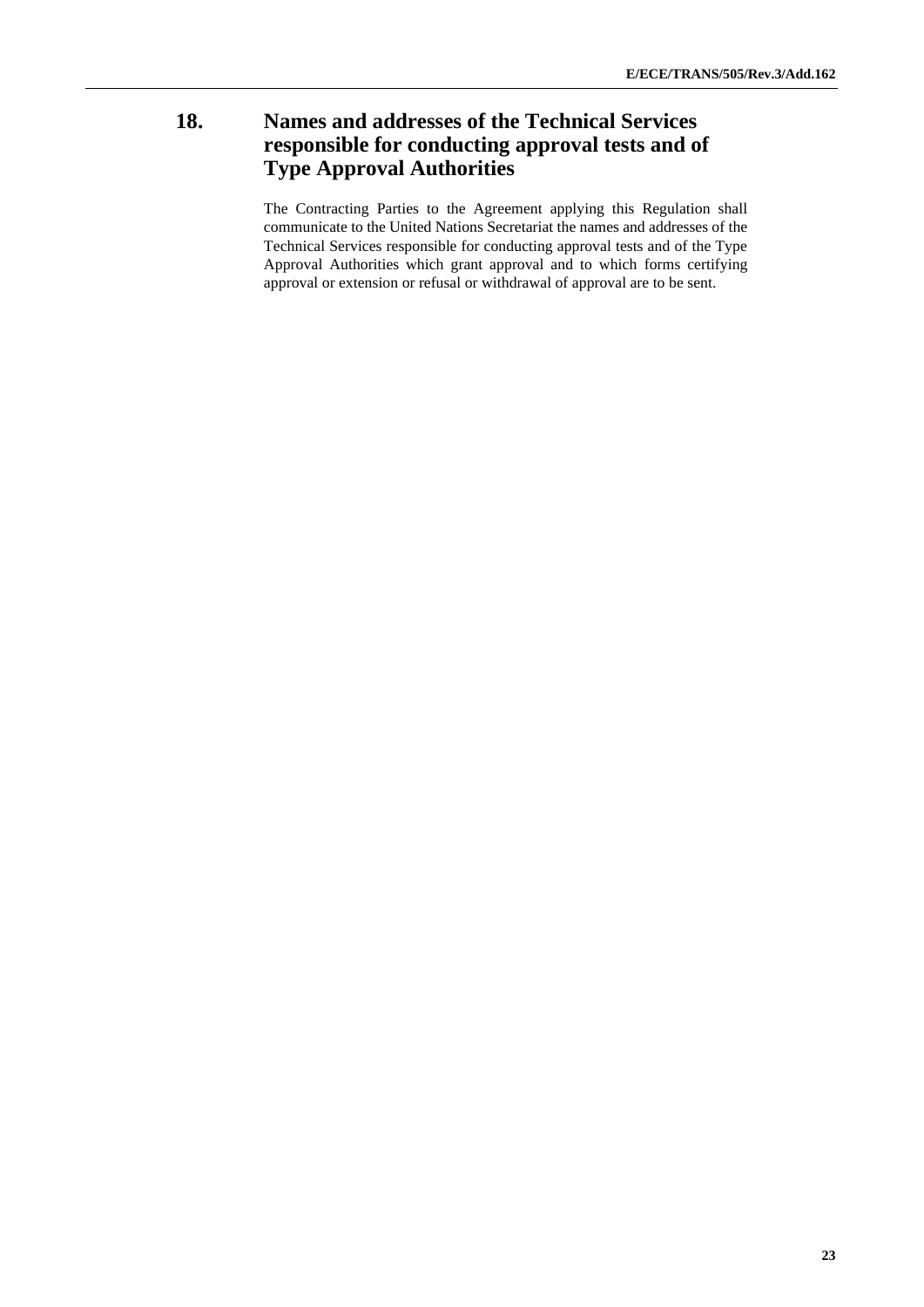### **18. Names and addresses of the Technical Services responsible for conducting approval tests and of Type Approval Authorities**

The Contracting Parties to the Agreement applying this Regulation shall communicate to the United Nations Secretariat the names and addresses of the Technical Services responsible for conducting approval tests and of the Type Approval Authorities which grant approval and to which forms certifying approval or extension or refusal or withdrawal of approval are to be sent.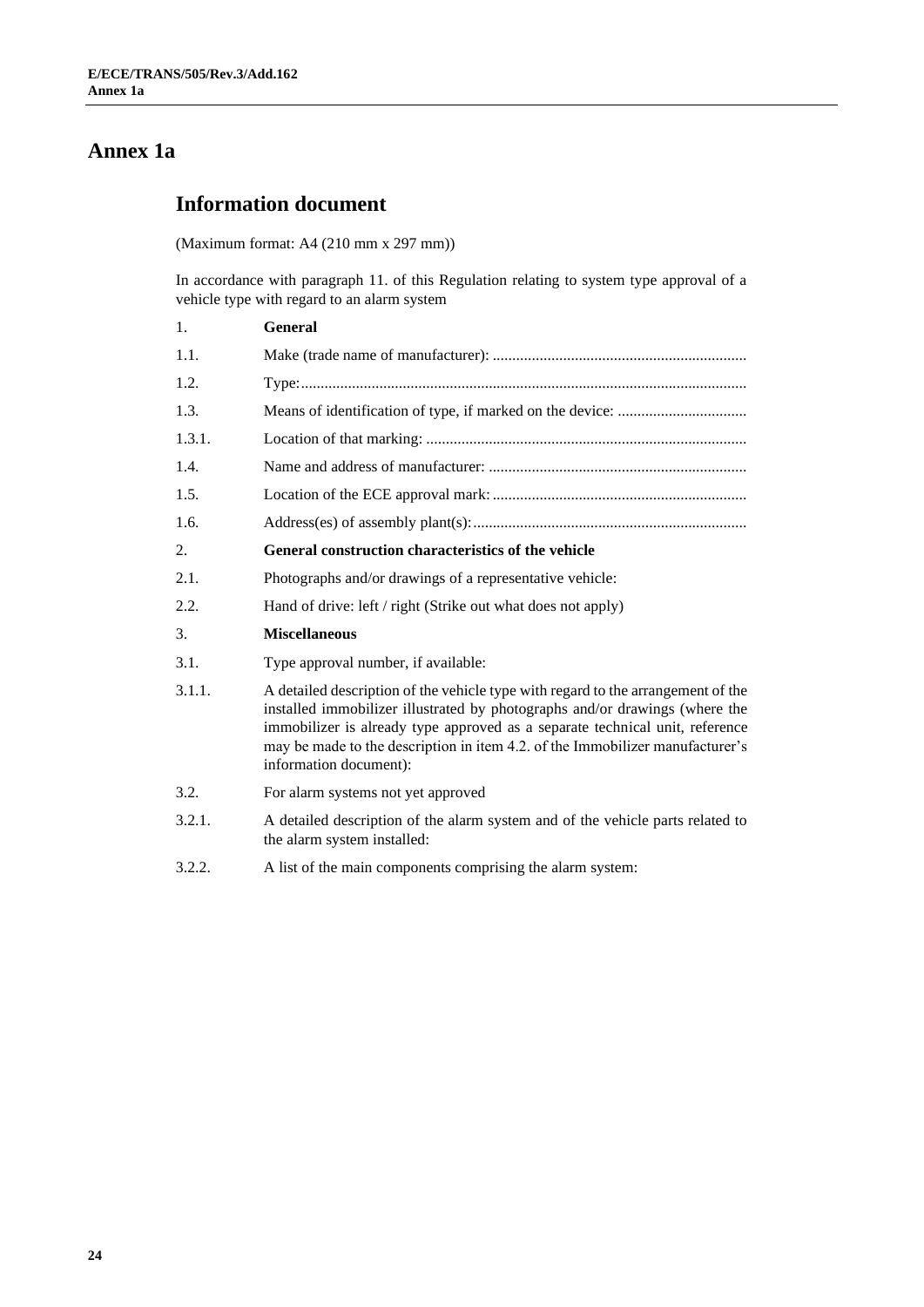## **Annex 1a**

## **Information document**

(Maximum format: A4 (210 mm x 297 mm))

In accordance with paragraph 11. of this Regulation relating to system type approval of a vehicle type with regard to an alarm system

| 1.     | <b>General</b>                                                                                                                                                                                                                                                                                                                                             |  |  |
|--------|------------------------------------------------------------------------------------------------------------------------------------------------------------------------------------------------------------------------------------------------------------------------------------------------------------------------------------------------------------|--|--|
| 1.1.   |                                                                                                                                                                                                                                                                                                                                                            |  |  |
| 1.2.   |                                                                                                                                                                                                                                                                                                                                                            |  |  |
| 1.3.   |                                                                                                                                                                                                                                                                                                                                                            |  |  |
| 1.3.1. |                                                                                                                                                                                                                                                                                                                                                            |  |  |
| 1.4.   |                                                                                                                                                                                                                                                                                                                                                            |  |  |
| 1.5.   |                                                                                                                                                                                                                                                                                                                                                            |  |  |
| 1.6.   |                                                                                                                                                                                                                                                                                                                                                            |  |  |
| 2.     | General construction characteristics of the vehicle                                                                                                                                                                                                                                                                                                        |  |  |
| 2.1.   | Photographs and/or drawings of a representative vehicle:                                                                                                                                                                                                                                                                                                   |  |  |
| 2.2.   | Hand of drive: left / right (Strike out what does not apply)                                                                                                                                                                                                                                                                                               |  |  |
| 3.     | <b>Miscellaneous</b>                                                                                                                                                                                                                                                                                                                                       |  |  |
| 3.1.   | Type approval number, if available:                                                                                                                                                                                                                                                                                                                        |  |  |
| 3.1.1. | A detailed description of the vehicle type with regard to the arrangement of the<br>installed immobilizer illustrated by photographs and/or drawings (where the<br>immobilizer is already type approved as a separate technical unit, reference<br>may be made to the description in item 4.2. of the Immobilizer manufacturer's<br>information document): |  |  |
| 3.2.   | For alarm systems not yet approved                                                                                                                                                                                                                                                                                                                         |  |  |
| 3.2.1. | A detailed description of the alarm system and of the vehicle parts related to<br>the alarm system installed:                                                                                                                                                                                                                                              |  |  |
| 3.2.2. | A list of the main components comprising the alarm system:                                                                                                                                                                                                                                                                                                 |  |  |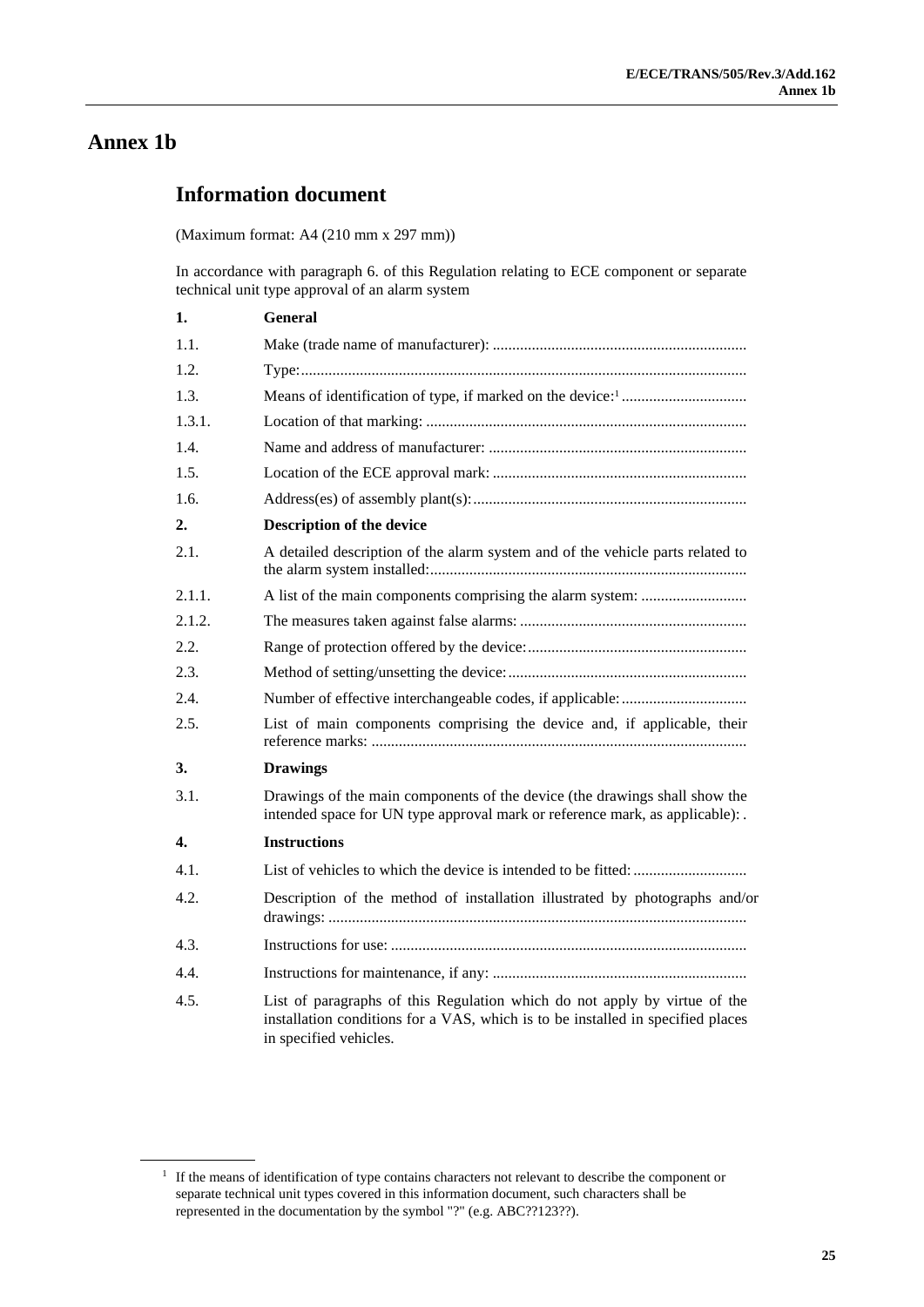### **Annex 1b**

### **Information document**

(Maximum format: A4 (210 mm x 297 mm))

In accordance with paragraph 6. of this Regulation relating to ECE component or separate technical unit type approval of an alarm system

| 1.     | General                                                                                                                                                                                |  |  |
|--------|----------------------------------------------------------------------------------------------------------------------------------------------------------------------------------------|--|--|
| 1.1.   |                                                                                                                                                                                        |  |  |
| 1.2.   |                                                                                                                                                                                        |  |  |
| 1.3.   |                                                                                                                                                                                        |  |  |
| 1.3.1. |                                                                                                                                                                                        |  |  |
| 1.4.   |                                                                                                                                                                                        |  |  |
| 1.5.   |                                                                                                                                                                                        |  |  |
| 1.6.   |                                                                                                                                                                                        |  |  |
| 2.     | Description of the device                                                                                                                                                              |  |  |
| 2.1.   | A detailed description of the alarm system and of the vehicle parts related to                                                                                                         |  |  |
| 2.1.1. |                                                                                                                                                                                        |  |  |
| 2.1.2. |                                                                                                                                                                                        |  |  |
| 2.2.   |                                                                                                                                                                                        |  |  |
| 2.3.   |                                                                                                                                                                                        |  |  |
| 2.4.   |                                                                                                                                                                                        |  |  |
| 2.5.   | List of main components comprising the device and, if applicable, their                                                                                                                |  |  |
| 3.     | <b>Drawings</b>                                                                                                                                                                        |  |  |
| 3.1.   | Drawings of the main components of the device (the drawings shall show the<br>intended space for UN type approval mark or reference mark, as applicable): .                            |  |  |
| 4.     | <b>Instructions</b>                                                                                                                                                                    |  |  |
| 4.1.   |                                                                                                                                                                                        |  |  |
| 4.2.   | Description of the method of installation illustrated by photographs and/or                                                                                                            |  |  |
| 4.3.   |                                                                                                                                                                                        |  |  |
| 4.4.   |                                                                                                                                                                                        |  |  |
| 4.5.   | List of paragraphs of this Regulation which do not apply by virtue of the<br>installation conditions for a VAS, which is to be installed in specified places<br>in specified vehicles. |  |  |

<sup>&</sup>lt;sup>1</sup> If the means of identification of type contains characters not relevant to describe the component or separate technical unit types covered in this information document, such characters shall be represented in the documentation by the symbol "?" (e.g. ABC??123??).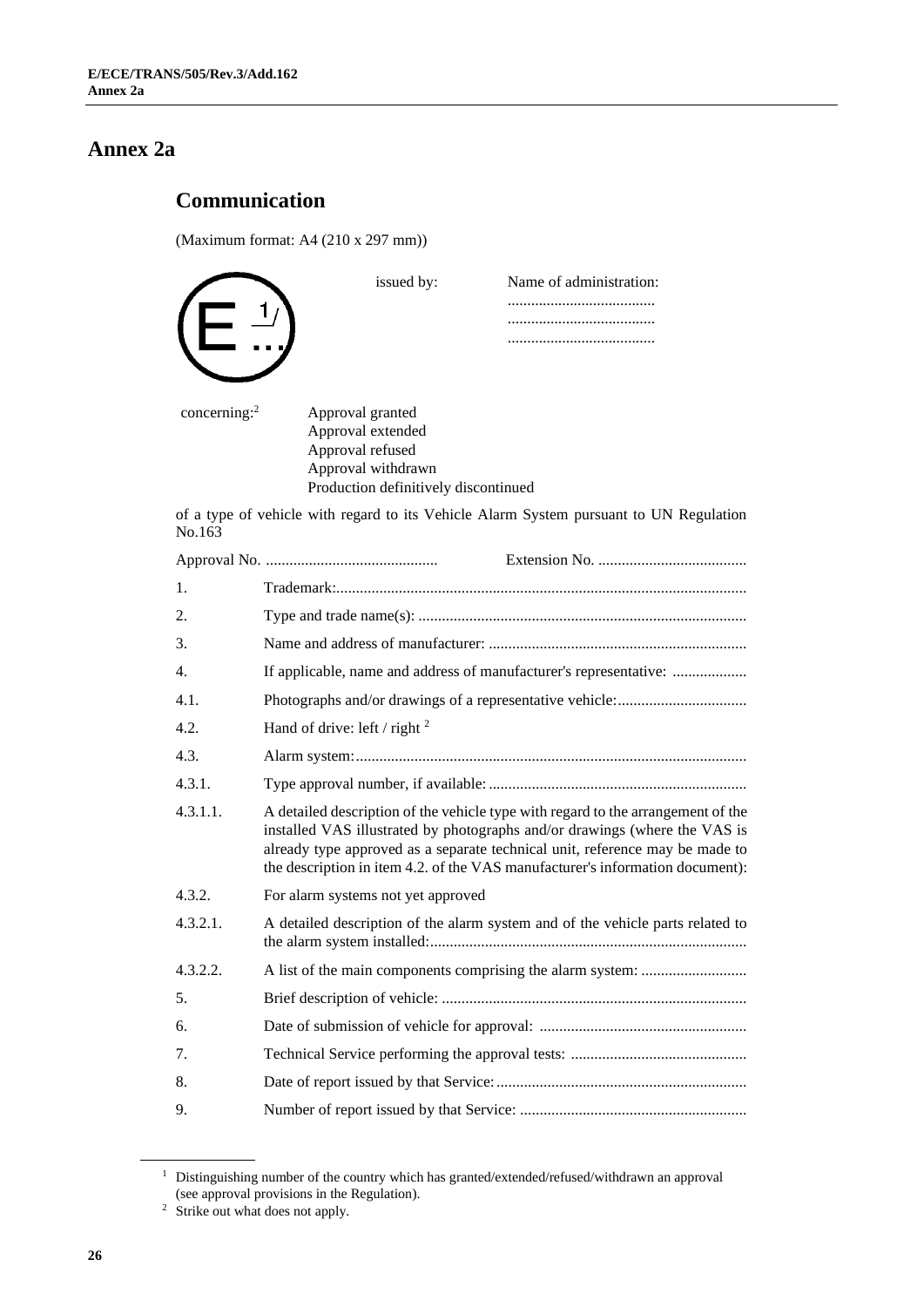## **Annex 2a**

## **Communication**

(Maximum format: A4 (210 x 297 mm))

|                 | issued by:                                                                                                                                                                                                                                                                                                                      | Name of administration:                                                                |  |
|-----------------|---------------------------------------------------------------------------------------------------------------------------------------------------------------------------------------------------------------------------------------------------------------------------------------------------------------------------------|----------------------------------------------------------------------------------------|--|
|                 |                                                                                                                                                                                                                                                                                                                                 |                                                                                        |  |
| concerning: $2$ | Approval granted                                                                                                                                                                                                                                                                                                                |                                                                                        |  |
|                 | Approval extended<br>Approval refused<br>Approval withdrawn<br>Production definitively discontinued                                                                                                                                                                                                                             |                                                                                        |  |
| No.163          |                                                                                                                                                                                                                                                                                                                                 | of a type of vehicle with regard to its Vehicle Alarm System pursuant to UN Regulation |  |
|                 |                                                                                                                                                                                                                                                                                                                                 |                                                                                        |  |
| 1.              |                                                                                                                                                                                                                                                                                                                                 |                                                                                        |  |
| 2.              |                                                                                                                                                                                                                                                                                                                                 |                                                                                        |  |
| 3.              |                                                                                                                                                                                                                                                                                                                                 |                                                                                        |  |
| 4.              |                                                                                                                                                                                                                                                                                                                                 | If applicable, name and address of manufacturer's representative:                      |  |
| 4.1.            |                                                                                                                                                                                                                                                                                                                                 |                                                                                        |  |
| 4.2.            | Hand of drive: left / right $^2$                                                                                                                                                                                                                                                                                                |                                                                                        |  |
| 4.3.            |                                                                                                                                                                                                                                                                                                                                 |                                                                                        |  |
| 4.3.1.          |                                                                                                                                                                                                                                                                                                                                 |                                                                                        |  |
| 4.3.1.1.        | A detailed description of the vehicle type with regard to the arrangement of the<br>installed VAS illustrated by photographs and/or drawings (where the VAS is<br>already type approved as a separate technical unit, reference may be made to<br>the description in item 4.2. of the VAS manufacturer's information document): |                                                                                        |  |
| 4.3.2.          | For alarm systems not yet approved                                                                                                                                                                                                                                                                                              |                                                                                        |  |
| 4.3.2.1.        |                                                                                                                                                                                                                                                                                                                                 | A detailed description of the alarm system and of the vehicle parts related to         |  |
| 4.3.2.2.        |                                                                                                                                                                                                                                                                                                                                 |                                                                                        |  |
| 5.              |                                                                                                                                                                                                                                                                                                                                 |                                                                                        |  |
| 6.              |                                                                                                                                                                                                                                                                                                                                 |                                                                                        |  |
| 7.              |                                                                                                                                                                                                                                                                                                                                 |                                                                                        |  |
| 8.              |                                                                                                                                                                                                                                                                                                                                 |                                                                                        |  |
| 9.              |                                                                                                                                                                                                                                                                                                                                 |                                                                                        |  |
|                 |                                                                                                                                                                                                                                                                                                                                 |                                                                                        |  |

<sup>1</sup> Distinguishing number of the country which has granted/extended/refused/withdrawn an approval (see approval provisions in the Regulation). 2 Strike out what does not apply.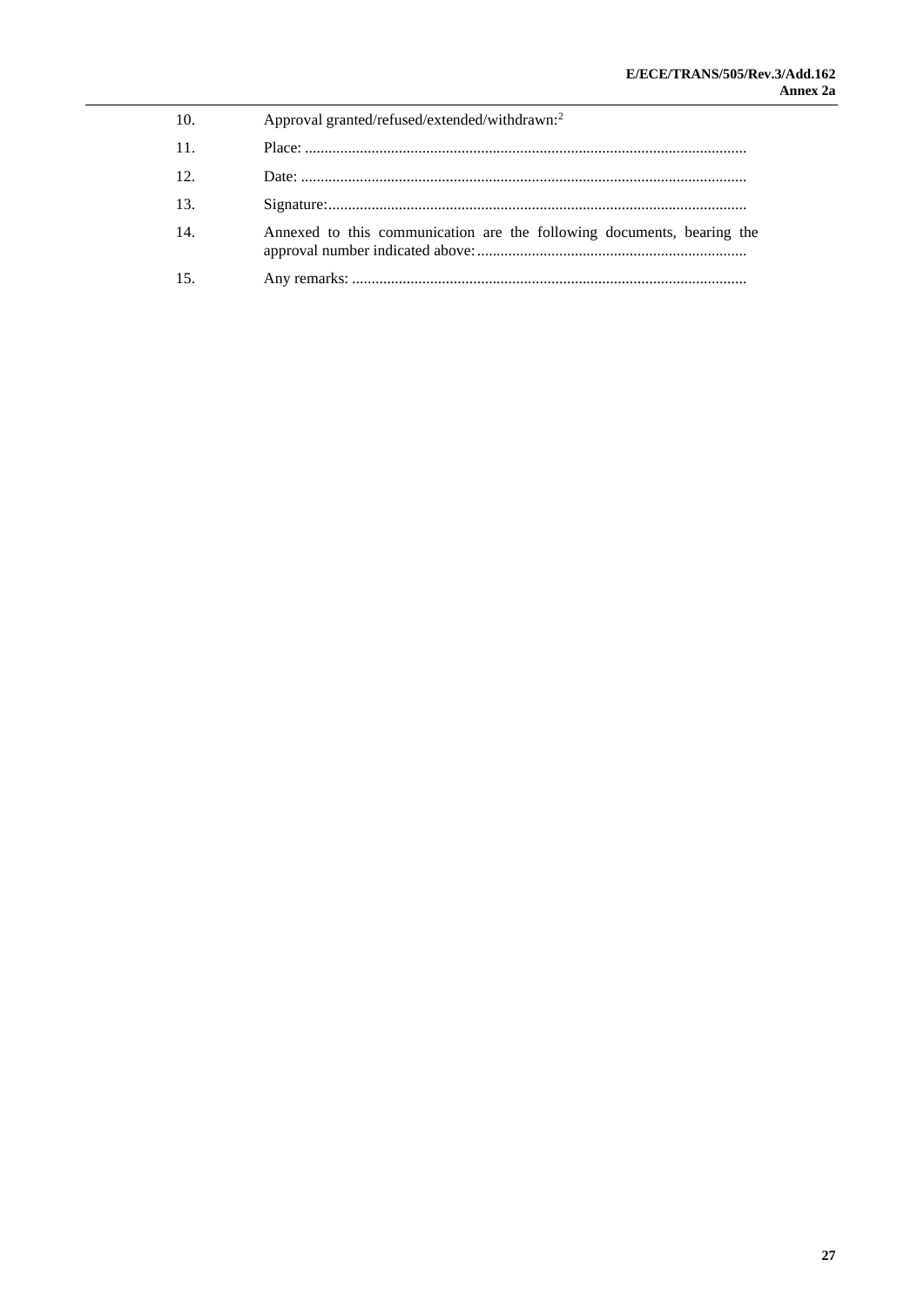| 10. | Approval granted/refused/extended/withdrawn: <sup>2</sup>              |
|-----|------------------------------------------------------------------------|
| 11. |                                                                        |
| 12. |                                                                        |
| 13. |                                                                        |
| 14. | Annexed to this communication are the following documents, bearing the |
| 15. |                                                                        |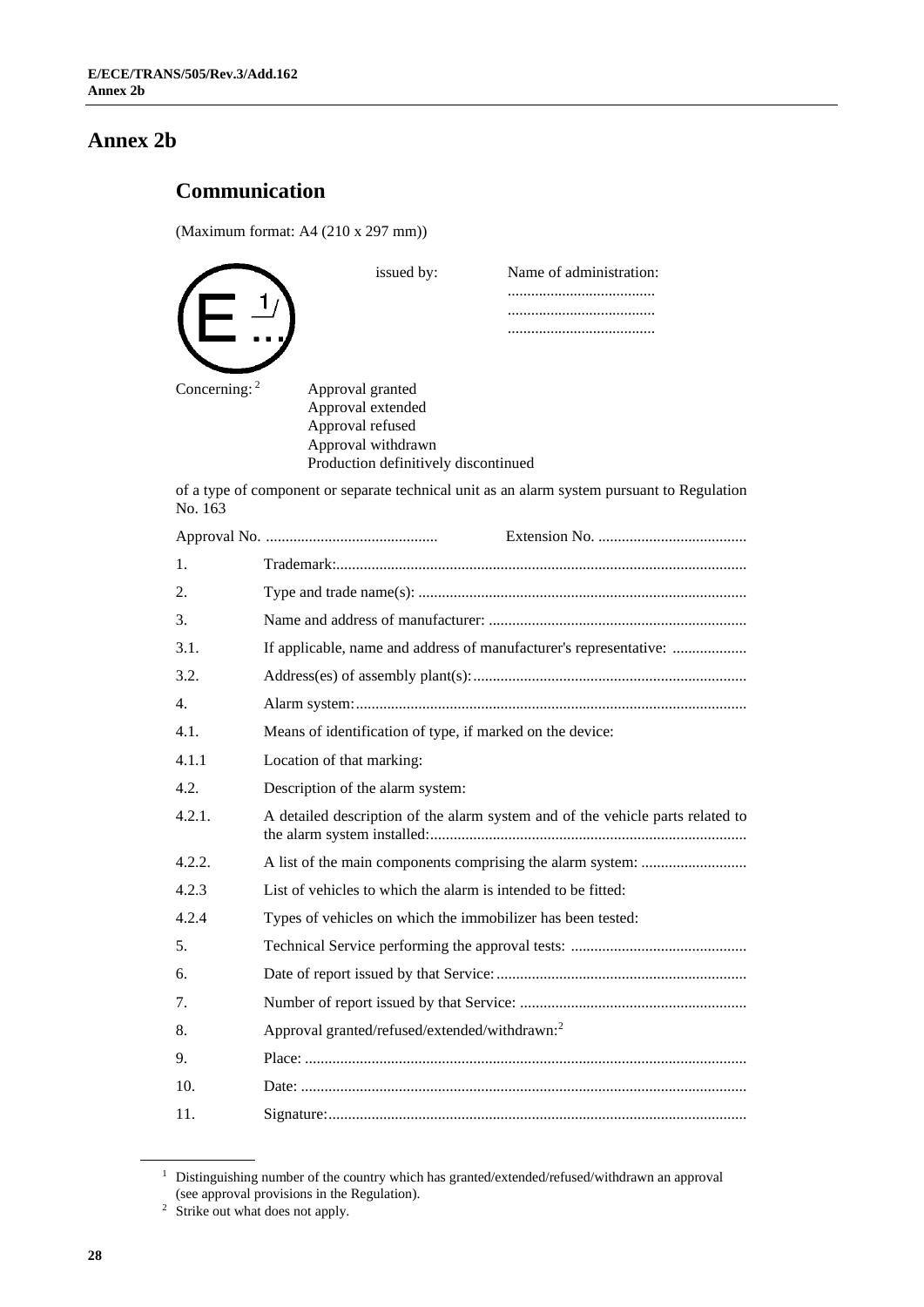### **Annex 2b**

## **Communication**

(Maximum format: A4 (210 x 297 mm))

|                 | issued by:                           | Name of administration: |
|-----------------|--------------------------------------|-------------------------|
|                 |                                      |                         |
|                 |                                      |                         |
|                 |                                      |                         |
|                 |                                      |                         |
| Concerning: $2$ | Approval granted                     |                         |
|                 | Approval extended                    |                         |
|                 | Approval refused                     |                         |
|                 | Approval withdrawn                   |                         |
|                 | Production definitively discontinued |                         |

of a type of component or separate technical unit as an alarm system pursuant to Regulation No. 163

| 1.             |                                                                                |
|----------------|--------------------------------------------------------------------------------|
| 2.             |                                                                                |
| 3.             |                                                                                |
| 3.1.           | If applicable, name and address of manufacturer's representative:              |
| 3.2.           |                                                                                |
| $\mathbf{4}$ . |                                                                                |
| 4.1.           | Means of identification of type, if marked on the device:                      |
| 4.1.1          | Location of that marking:                                                      |
| 4.2.           | Description of the alarm system:                                               |
| 4.2.1.         | A detailed description of the alarm system and of the vehicle parts related to |
| 4.2.2.         |                                                                                |
| 4.2.3          | List of vehicles to which the alarm is intended to be fitted:                  |
| 4.2.4          | Types of vehicles on which the immobilizer has been tested:                    |
| 5.             |                                                                                |
| 6.             |                                                                                |
| 7.             |                                                                                |
| 8.             | Approval granted/refused/extended/withdrawn: <sup>2</sup>                      |
| 9.             |                                                                                |
| 10.            |                                                                                |
| 11.            |                                                                                |

<sup>&</sup>lt;sup>1</sup> Distinguishing number of the country which has granted/extended/refused/withdrawn an approval (see approval provisions in the Regulation). 2 Strike out what does not apply.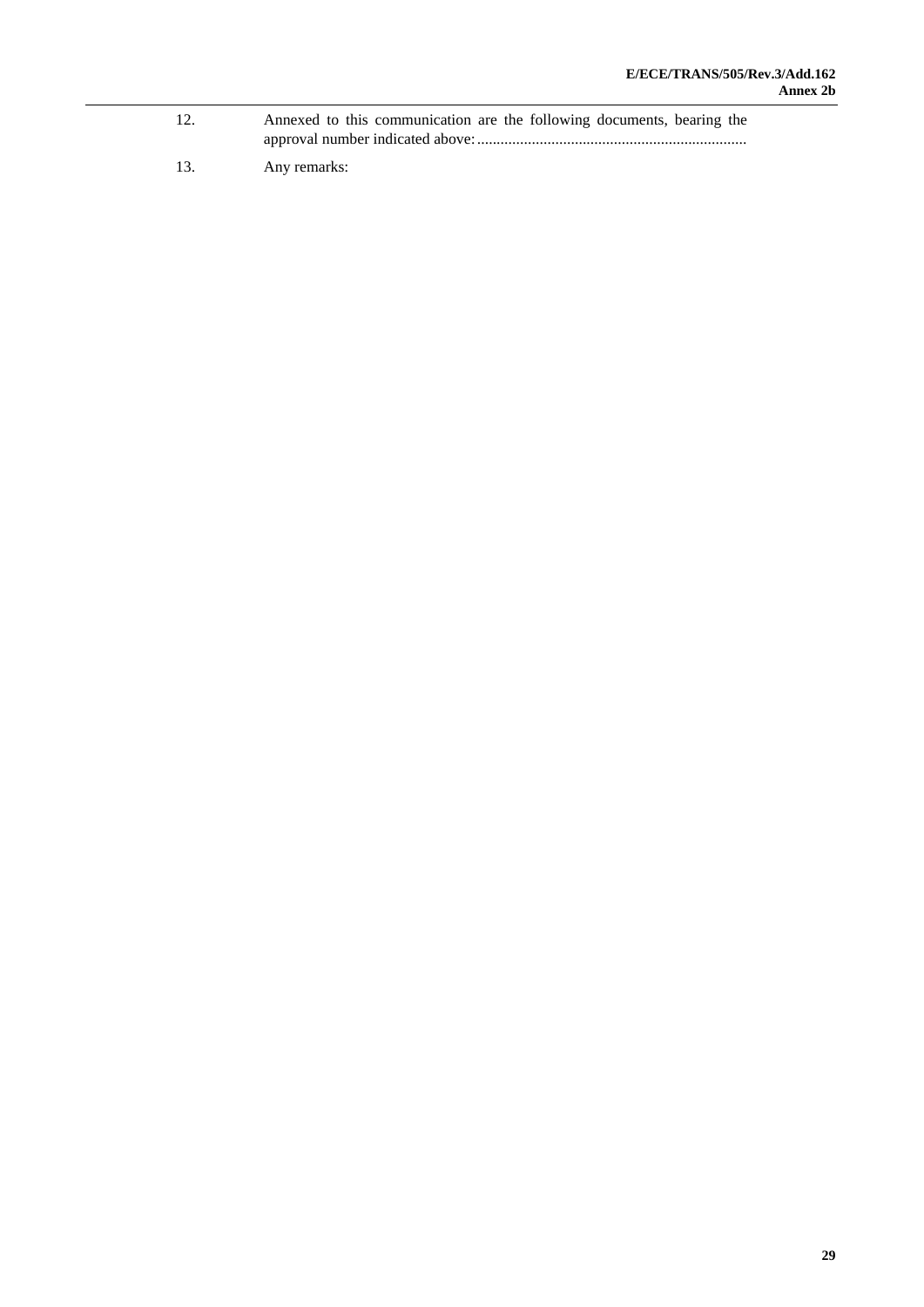- 12. Annexed to this communication are the following documents, bearing the approval number indicated above:.....................................................................
- 13. Any remarks: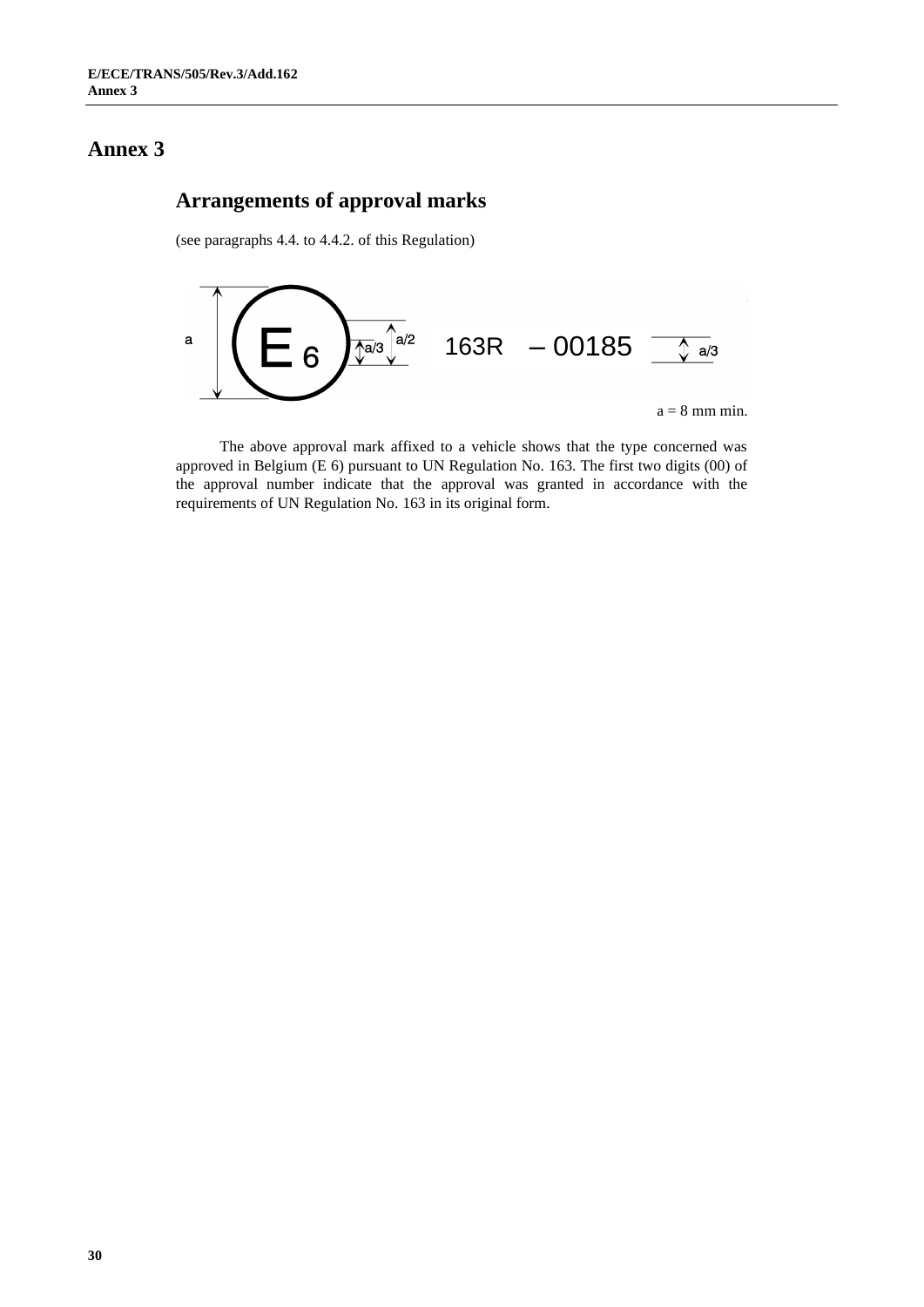### **Arrangements of approval marks**

(see paragraphs 4.4. to 4.4.2. of this Regulation)



The above approval mark affixed to a vehicle shows that the type concerned was approved in Belgium (E 6) pursuant to UN Regulation No. 163. The first two digits (00) of the approval number indicate that the approval was granted in accordance with the requirements of UN Regulation No. 163 in its original form.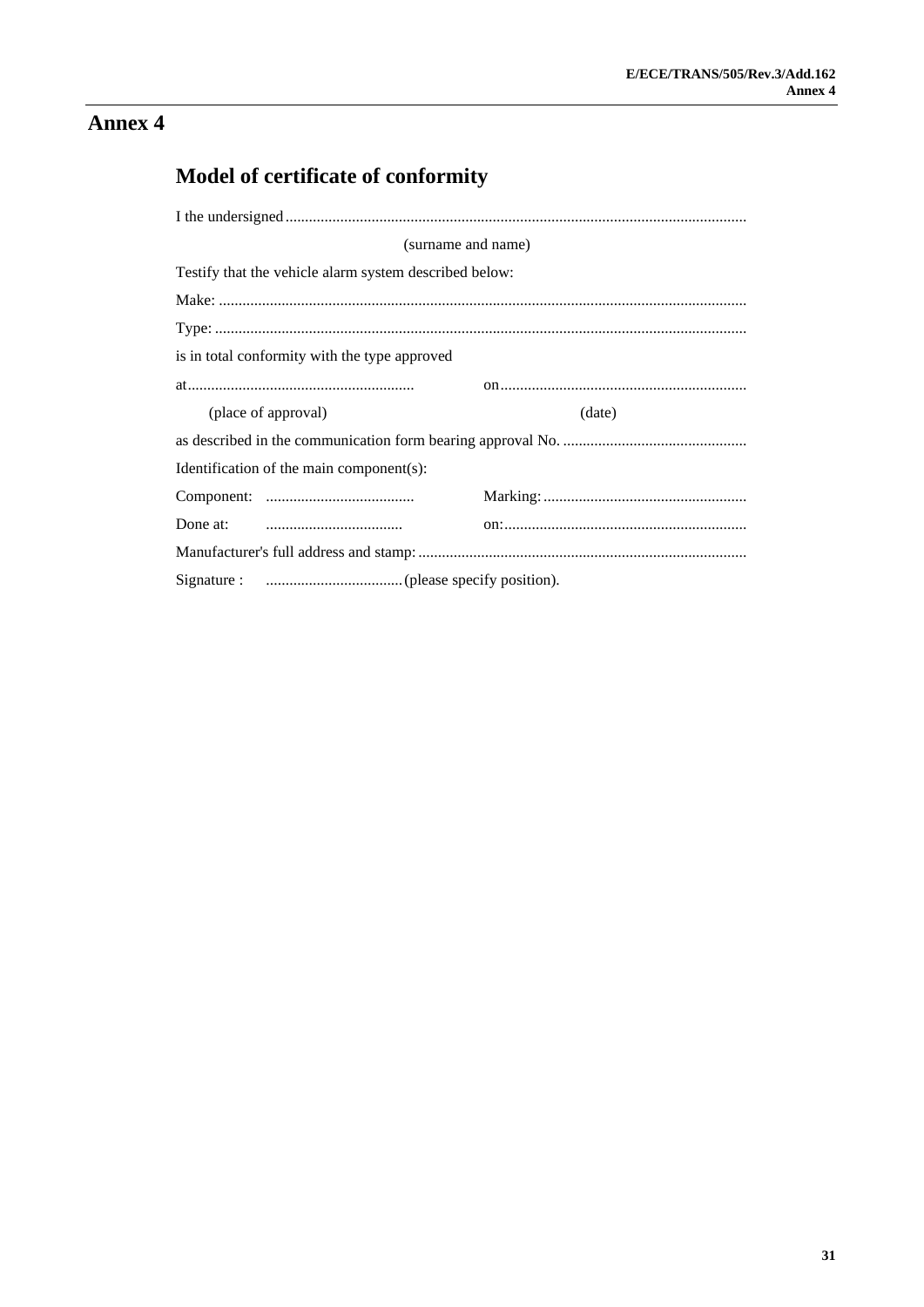## Model of certificate of conformity

|                     | (surname and name)                                                                      |        |
|---------------------|-----------------------------------------------------------------------------------------|--------|
|                     | Testify that the vehicle alarm system described below:                                  |        |
|                     |                                                                                         |        |
|                     |                                                                                         |        |
|                     | is in total conformity with the type approved                                           |        |
|                     |                                                                                         |        |
| (place of approval) |                                                                                         | (date) |
|                     |                                                                                         |        |
|                     | Identification of the main component(s):                                                |        |
|                     |                                                                                         |        |
|                     | Done at: $\qquad \qquad \ldots \ldots \ldots \ldots \ldots \ldots \ldots \ldots \ldots$ |        |
|                     |                                                                                         |        |
|                     |                                                                                         |        |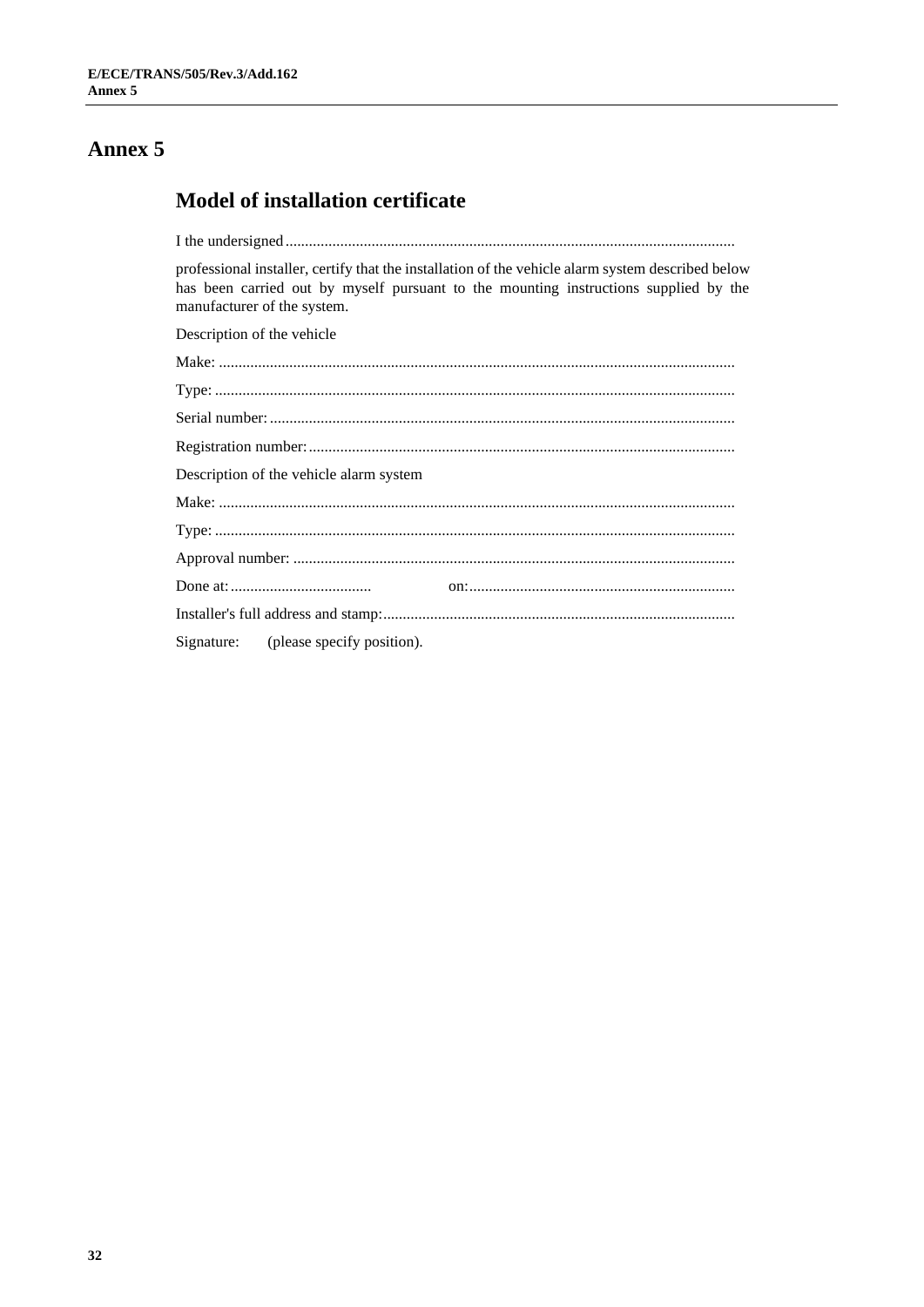## **Model of installation certificate**

professional installer, certify that the installation of the vehicle alarm system described below has been carried out by myself pursuant to the mounting instructions supplied by the manufacturer of the system.

Description of the vehicle

| Description of the vehicle alarm system |  |
|-----------------------------------------|--|
|                                         |  |
|                                         |  |
|                                         |  |
|                                         |  |
|                                         |  |
| Signature: (please specify position).   |  |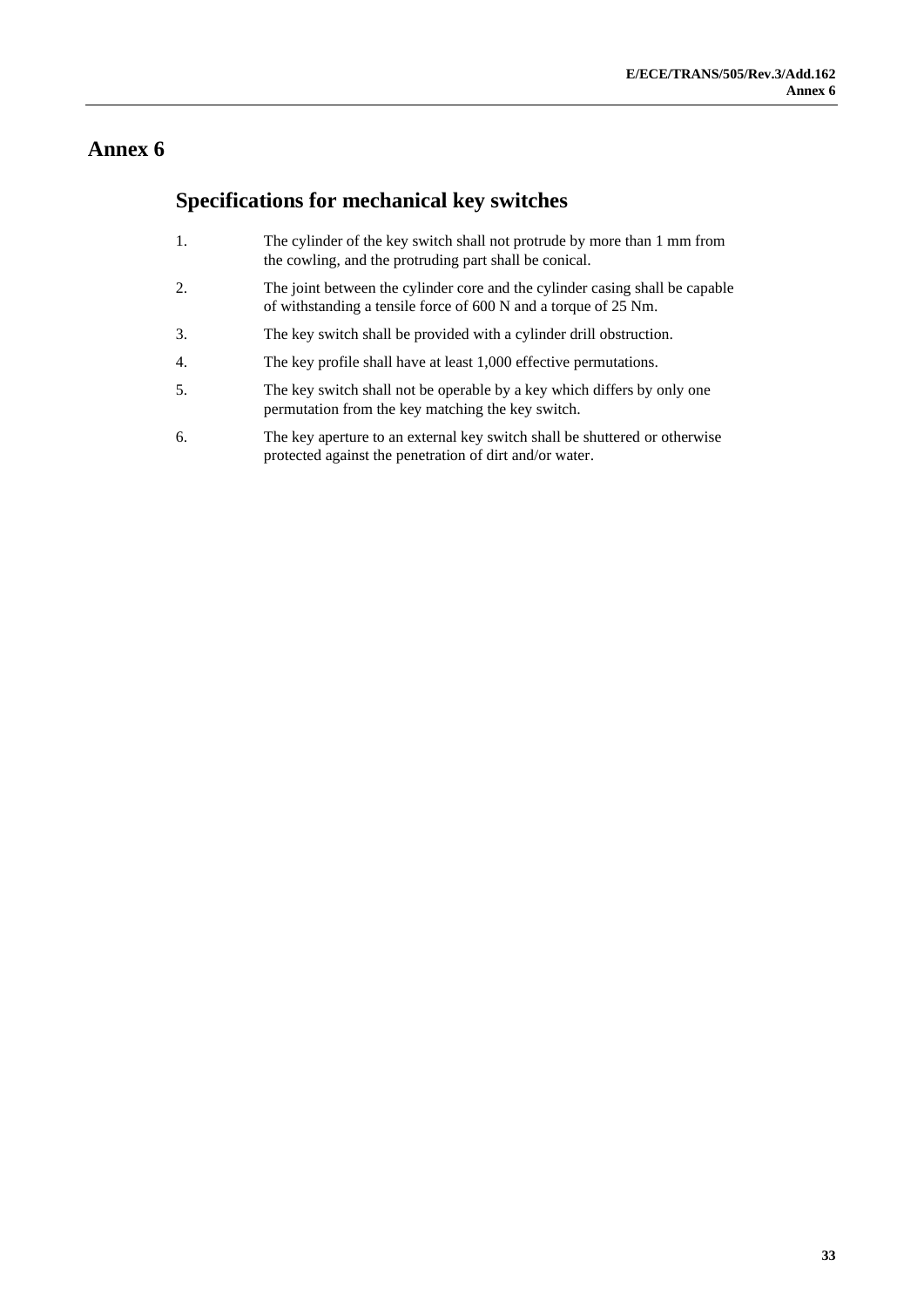## **Specifications for mechanical key switches**

- 1. The cylinder of the key switch shall not protrude by more than 1 mm from the cowling, and the protruding part shall be conical.
- 2. The joint between the cylinder core and the cylinder casing shall be capable of withstanding a tensile force of 600 N and a torque of 25 Nm.
- 3. The key switch shall be provided with a cylinder drill obstruction.
- 4. The key profile shall have at least 1,000 effective permutations.
- 5. The key switch shall not be operable by a key which differs by only one permutation from the key matching the key switch.
- 6. The key aperture to an external key switch shall be shuttered or otherwise protected against the penetration of dirt and/or water.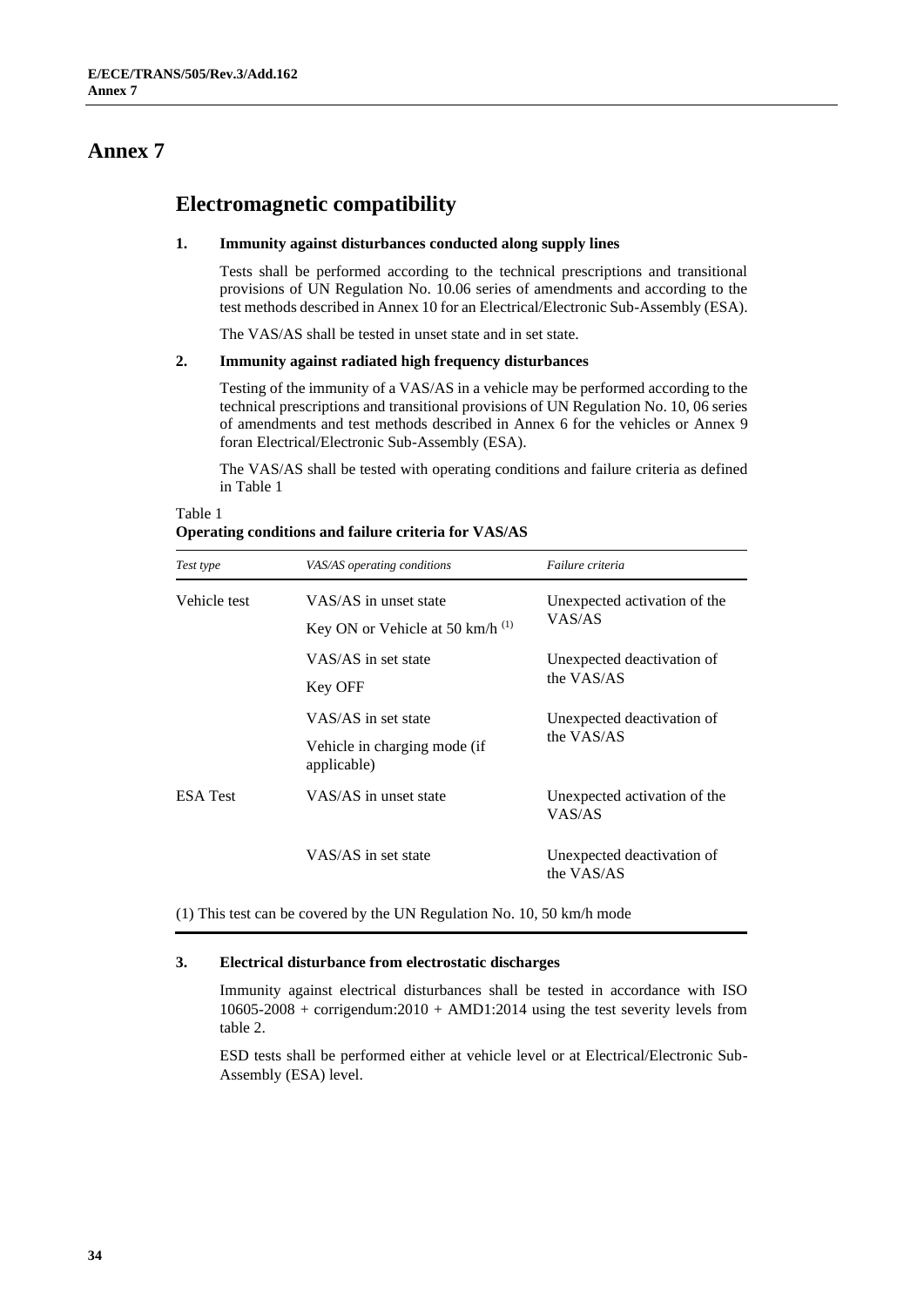### **Electromagnetic compatibility**

#### **1. Immunity against disturbances conducted along supply lines**

Tests shall be performed according to the technical prescriptions and transitional provisions of UN Regulation No. 10.06 series of amendments and according to the test methods described in Annex 10 for an Electrical/Electronic Sub-Assembly (ESA).

The VAS/AS shall be tested in unset state and in set state.

#### **2. Immunity against radiated high frequency disturbances**

Testing of the immunity of a VAS/AS in a vehicle may be performed according to the technical prescriptions and transitional provisions of UN Regulation No. 10, 06 series of amendments and test methods described in Annex 6 for the vehicles or Annex 9 foran Electrical/Electronic Sub-Assembly (ESA).

The VAS/AS shall be tested with operating conditions and failure criteria as defined in Table 1

| Test type       | VAS/AS operating conditions                                        | Failure criteria                         |  |  |
|-----------------|--------------------------------------------------------------------|------------------------------------------|--|--|
| Vehicle test    | VAS/AS in unset state<br>Key ON or Vehicle at 50 km/h $^{(1)}$     | Unexpected activation of the<br>VAS/AS   |  |  |
|                 | VAS/AS in set state<br>Key OFF                                     | Unexpected deactivation of<br>the VAS/AS |  |  |
|                 | VAS/AS in set state<br>Vehicle in charging mode (if<br>applicable) | Unexpected deactivation of<br>the VAS/AS |  |  |
| <b>ESA Test</b> | VAS/AS in unset state                                              | Unexpected activation of the<br>VAS/AS   |  |  |
|                 | VAS/AS in set state                                                | Unexpected deactivation of<br>the VAS/AS |  |  |

#### Table 1 **Operating conditions and failure criteria for VAS/AS**

(1) This test can be covered by the UN Regulation No. 10, 50 km/h mode

#### **3. Electrical disturbance from electrostatic discharges**

Immunity against electrical disturbances shall be tested in accordance with ISO 10605-2008 + corrigendum:2010 + AMD1:2014 using the test severity levels from table 2.

ESD tests shall be performed either at vehicle level or at Electrical/Electronic Sub-Assembly (ESA) level.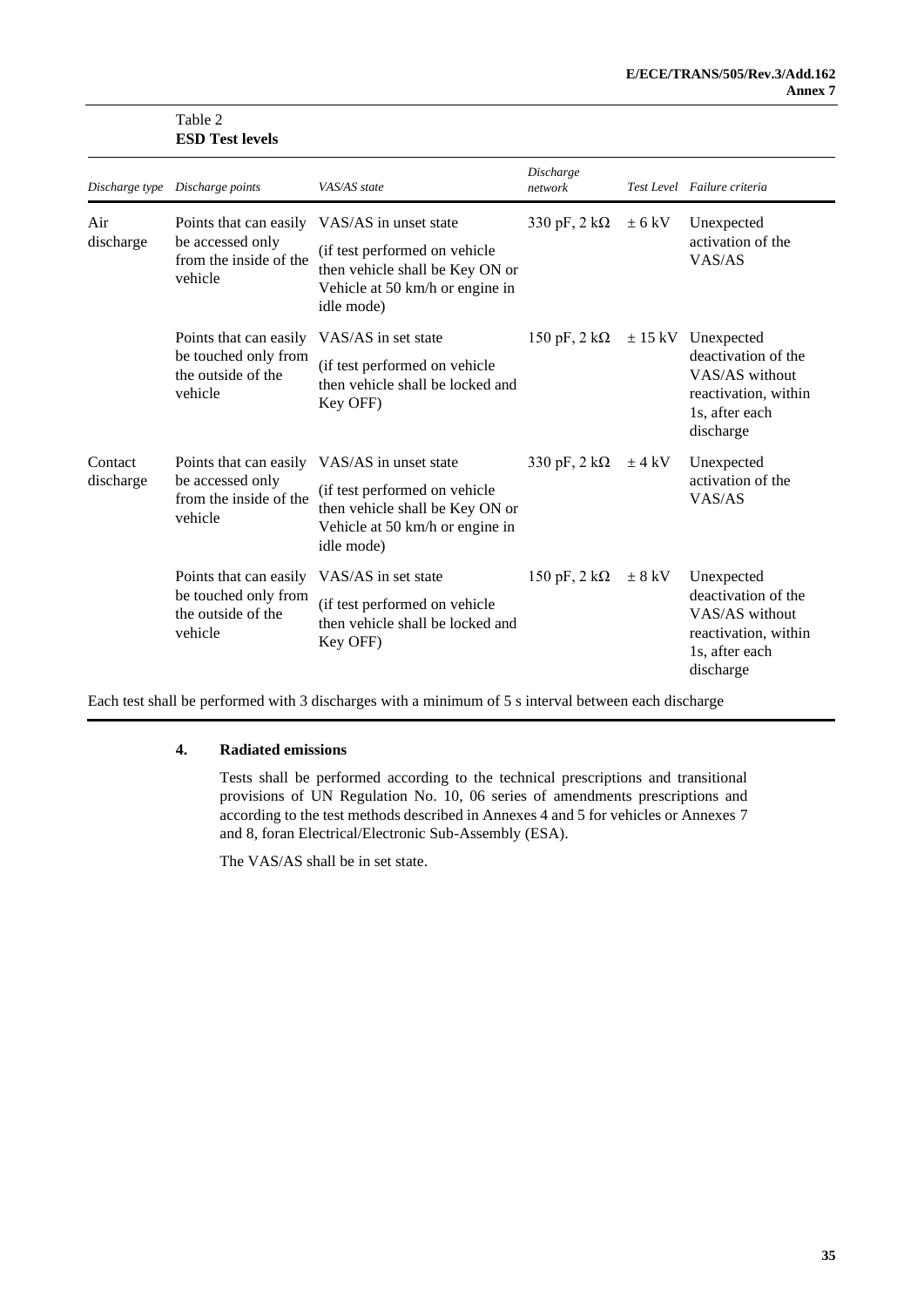|                      | <b>ESD Test levels</b>                                                          |                                                                                                                                                                   |                             |            |                                                                                                                        |  |  |
|----------------------|---------------------------------------------------------------------------------|-------------------------------------------------------------------------------------------------------------------------------------------------------------------|-----------------------------|------------|------------------------------------------------------------------------------------------------------------------------|--|--|
|                      | Discharge type Discharge points                                                 | VAS/AS state                                                                                                                                                      | Discharge<br>network        |            | Test Level Failure criteria                                                                                            |  |  |
| Air<br>discharge     | Points that can easily<br>be accessed only<br>from the inside of the<br>vehicle | VAS/AS in unset state<br>(if test performed on vehicle<br>then vehicle shall be Key ON or<br>Vehicle at 50 km/h or engine in<br>idle mode)                        | 330 pF, $2 k\Omega$         | $\pm$ 6 kV | Unexpected<br>activation of the<br>VAS/AS                                                                              |  |  |
|                      | Points that can easily<br>be touched only from<br>the outside of the<br>vehicle | VAS/AS in set state<br>(if test performed on vehicle<br>then vehicle shall be locked and<br>Key OFF)                                                              | 150 pF, $2 \text{ k}\Omega$ |            | $\pm$ 15 kV Unexpected<br>deactivation of the<br>VAS/AS without<br>reactivation, within<br>1s, after each<br>discharge |  |  |
| Contact<br>discharge | be accessed only<br>from the inside of the<br>vehicle                           | Points that can easily VAS/AS in unset state<br>(if test performed on vehicle<br>then vehicle shall be Key ON or<br>Vehicle at 50 km/h or engine in<br>idle mode) | 330 pF, $2 k\Omega$         | $\pm$ 4 kV | Unexpected<br>activation of the<br>VAS/AS                                                                              |  |  |
|                      | Points that can easily<br>be touched only from<br>the outside of the<br>vehicle | VAS/AS in set state<br>(if test performed on vehicle<br>then vehicle shall be locked and<br>Key OFF)                                                              | 150 pF, $2 \text{ k}\Omega$ | $\pm$ 8 kV | Unexpected<br>deactivation of the<br>VAS/AS without<br>reactivation, within<br>1s, after each<br>discharge             |  |  |

Each test shall be performed with 3 discharges with a minimum of 5 s interval between each discharge

#### **4. Radiated emissions**

Table 2

Tests shall be performed according to the technical prescriptions and transitional provisions of UN Regulation No. 10, 06 series of amendments prescriptions and according to the test methods described in Annexes 4 and 5 for vehicles or Annexes 7 and 8, foran Electrical/Electronic Sub-Assembly (ESA).

The VAS/AS shall be in set state.